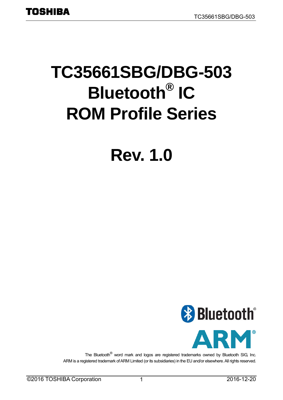# **TC35661SBG/DBG-503 Bluetooth® IC ROM Profile Series**

# **Rev. 1.0**



The Bluetooth® word mark and logos are registered trademarks owned by Bluetooth SIG, Inc. ARM is a registered trademark of ARM Limited (or its subsidiaries) in the EU and/or elsewhere. All rights reserved.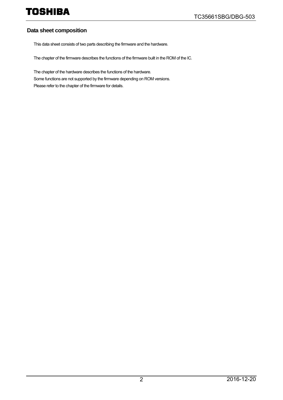#### **Data sheet composition**

This data sheet consists of two parts describing the firmware and the hardware.

The chapter of the firmware describes the functions of the firmware built in the ROM of the IC.

The chapter of the hardware describes the functions of the hardware. Some functions are not supported by the firmware depending on ROM versions. Please refer to the chapter of the firmware for details.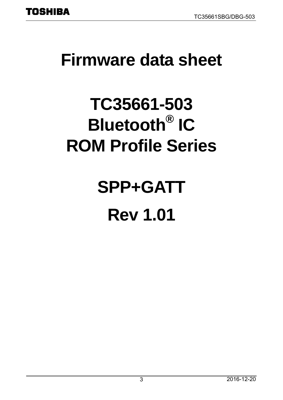## <span id="page-2-0"></span>**Firmware data sheet**

# **TC35661-503 Bluetooth® IC ROM Profile Series**

# **SPP+GATT Rev 1.01**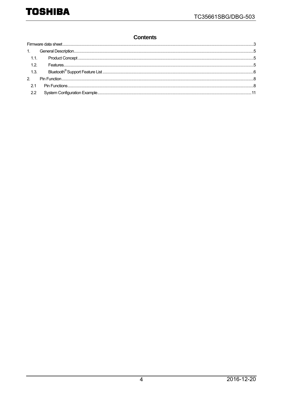#### **Contents**

| 1.2.        |  |
|-------------|--|
|             |  |
| $2^{\circ}$ |  |
| 21          |  |
| 2.2         |  |
|             |  |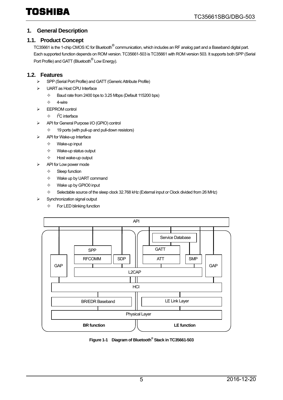#### <span id="page-4-0"></span>**1. General Description**

#### <span id="page-4-1"></span>**1.1. Product Concept**

TC35661 is the 1-chip CMOS IC for Bluetooth® communication, which includes an RF analog part and a Baseband digital part. Each supported function depends on ROM version. TC35661-503 is TC35661 with ROM version 503. It supports both SPP (Serial Port Profile) and GATT (Bluetooth<sup>®</sup> Low Energy).

#### <span id="page-4-2"></span>**1.2. Features**

- SPP (Serial Port Profile) and GATT (Generic Attribute Profile)
- UART as Host CPU Interface
	- $\div$  Baud rate from 2400 bps to 3.25 Mbps (Default 115200 bps)
	- $\diamondsuit$  4-wire
- EEPROM control
	- $\div$  I<sup>2</sup>C interface
- API for General Purpose I/O (GPIO) control
	- $\div$  19 ports (with pull-up and pull-down resistors)
- API for Wake-up Interface
	- $\Leftrightarrow$  Wake-up input
	- $\Leftrightarrow$  Wake-up status output
	- $\Leftrightarrow$  Host wake-up output
- > API for Low power mode
	- $\Leftrightarrow$  Sleep function
	- $\Leftrightarrow$  Wake up by UART command
	- $\Leftrightarrow$  Wake up by GPIO0 input
	- $\diamond$  Selectable source of the sleep clock 32.768 kHz (External input or Clock divided from 26 MHz)
- Synchronization signal output
	- $\Leftrightarrow$  For LED blinking function



**Figure 1-1 Diagram of Bluetooth® Stack in TC35661-503**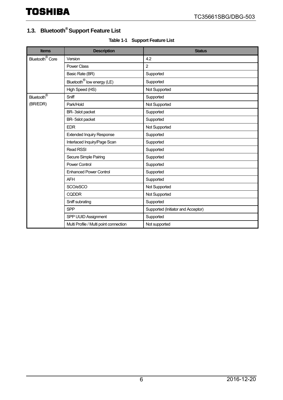### <span id="page-5-0"></span>**1.3. Bluetooth® Support Feature List**

|  | <b>Table 1-1 Support Feature List</b> |
|--|---------------------------------------|
|--|---------------------------------------|

| <b>Items</b>                | <b>Description</b>                     | <b>Status</b>                      |
|-----------------------------|----------------------------------------|------------------------------------|
| Bluetooth <sup>®</sup> Core | Version                                | 4.2                                |
|                             | <b>Power Class</b>                     | $\overline{2}$                     |
|                             | Basic Rate (BR)                        | Supported                          |
|                             | Bluetooth <sup>®</sup> low energy (LE) | Supported                          |
|                             | High Speed (HS)                        | Not Supported                      |
| Bluetooth <sup>®</sup>      | Sniff                                  | Supported                          |
| (BR/EDR)                    | Park/Hold                              | Not Supported                      |
|                             | BR-3slot packet                        | Supported                          |
|                             | BR-5slot packet                        | Supported                          |
|                             | <b>EDR</b>                             | Not Supported                      |
|                             | <b>Extended Inquiry Response</b>       | Supported                          |
|                             | Interlaced Inquiry/Page Scan           | Supported                          |
|                             | <b>Read RSSI</b>                       | Supported                          |
|                             | Secure Simple Pairing                  | Supported                          |
|                             | <b>Power Control</b>                   | Supported                          |
|                             | <b>Enhanced Power Control</b>          | Supported                          |
|                             | <b>AFH</b>                             | Supported                          |
|                             | SCO/eSCO                               | Not Supported                      |
|                             | <b>CQDDR</b>                           | Not Supported                      |
|                             | Sniff subrating                        | Supported                          |
|                             | <b>SPP</b>                             | Supported (Initiator and Acceptor) |
|                             | SPP UUID Assignment                    | Supported                          |
|                             | Multi Profile / Multi point connection | Not supported                      |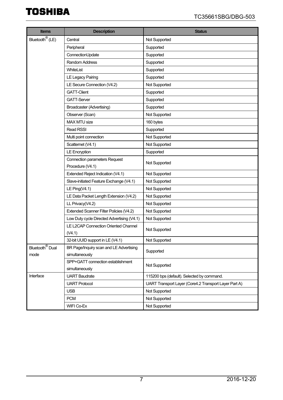| <b>Items</b>                           | <b>Description</b>                         | <b>Status</b>                                         |
|----------------------------------------|--------------------------------------------|-------------------------------------------------------|
| Bluetooth <sup>®</sup> (LE)            | Central                                    | Not Supported                                         |
|                                        | Peripheral                                 | Supported                                             |
|                                        | ConnectionUpdate                           | Supported                                             |
|                                        | Random Address                             | Supported                                             |
|                                        | WhiteList                                  | Supported                                             |
|                                        | LE Legacy Pairing                          | Supported                                             |
|                                        | LE Secure Connection (V4.2)                | Not Supported                                         |
|                                        | <b>GATT-Client</b>                         | Supported                                             |
|                                        | <b>GATT-Server</b>                         | Supported                                             |
|                                        | Broadcaster (Advertising)                  | Supported                                             |
|                                        | Observer (Scan)                            | Not Supported                                         |
|                                        | MAX MTU size                               | 160 bytes                                             |
|                                        | Read RSSI                                  | Supported                                             |
|                                        | Multi point connection                     | Not Supported                                         |
|                                        | Scatternet (V4.1)                          | Not Supported                                         |
|                                        | <b>LE Encryption</b>                       | Supported                                             |
|                                        | <b>Connection parameters Request</b>       | Not Supported                                         |
|                                        | Procedure (V4.1)                           |                                                       |
|                                        | Extended Reject Indication (V4.1)          | Not Supported                                         |
|                                        | Slave-initiated Feature Exchange (V4.1)    | Not Supported                                         |
|                                        | LE Ping $(V4.1)$                           | Not Supported                                         |
|                                        | LE Data Packet Length Extension (V4.2)     | Not Supported                                         |
|                                        | LL Privacy(V4.2)                           | Not Supported                                         |
|                                        | Extended Scanner Filter Policies (V4.2)    | Not Supported                                         |
|                                        | Low Duty cycle Directed Advertising (V4.1) | Not Supported                                         |
|                                        | LE L2CAP Connection Oriented Channel       | Not Supported                                         |
|                                        | (V4.1)                                     |                                                       |
|                                        | 32-bit UUID support in LE (V4.1)           | Not Supported                                         |
| Bluetooth <sup><sup>®</sup> Dual</sup> | BR Page/Inquiry scan and LE Advertising    | Supported                                             |
| mode                                   | simultaneously                             |                                                       |
|                                        | SPP+GATT connection establishment          | Not Supported                                         |
|                                        | simultaneously                             |                                                       |
| Interface                              | <b>UART Baudrate</b>                       | 115200 bps (default). Selected by command.            |
|                                        | <b>UART Protocol</b>                       | UART Transport Layer (Core4.2 Transport Layer Part A) |
|                                        | <b>USB</b>                                 | Not Supported                                         |
|                                        | <b>PCM</b>                                 | Not Supported                                         |
|                                        | WIFI Co-Ex                                 | Not Supported                                         |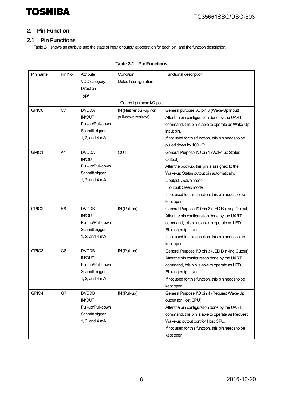#### <span id="page-7-0"></span>**2. Pin Function**

#### <span id="page-7-1"></span>**2.1 Pin Functions**

[Table 2-1](#page-7-2) shows an attribute and the state of input or output at operation for each pin, and the function description.

<span id="page-7-2"></span>

| Pin name          | Pin No.        | Attribute                | Condition                | Functional description                              |
|-------------------|----------------|--------------------------|--------------------------|-----------------------------------------------------|
|                   |                | VDD category             | Default configuration    |                                                     |
|                   |                | Direction                |                          |                                                     |
|                   |                | Type                     |                          |                                                     |
|                   |                |                          | General purpose I/O port |                                                     |
| GPIO0             | C7             | <b>DVDDA</b>             | IN (Neither pull-up nor  | General purpose I/O pin 0 (Wake-Up Input)           |
|                   |                | <b>IN/OUT</b>            | pull-down resistor)      | After the pin configuration done by the UART        |
|                   |                | Pull-up/Pull-down        |                          | command, this pin is able to operate as Wake-Up     |
|                   |                | Schmitt trigger          |                          | input pin.                                          |
|                   |                | 1, 2, and $4 \text{ mA}$ |                          | If not used for this function, this pin needs to be |
|                   |                |                          |                          | pulled down by 100 kΩ.                              |
| GPIO1             | A4             | <b>DVDDA</b>             | <b>OUT</b>               | General Purpose I/O pin 1 (Wake-up Status           |
|                   |                | <b>IN/OUT</b>            |                          | Output)                                             |
|                   |                | Pull-up/Pull-down        |                          | After the boot-up, this pin is assigned to the      |
|                   |                | Schmitt trigger          |                          | Wake-up Status output pin automatically.            |
|                   |                | 1, 2, and 4 mA           |                          | L output: Active mode                               |
|                   |                |                          |                          | H output: Sleep mode                                |
|                   |                |                          |                          | If not used for this function, this pin needs to be |
|                   |                |                          |                          | kept open.                                          |
| GPIO <sub>2</sub> | H <sub>8</sub> | <b>DVDDB</b>             | IN (Pull-up)             | General Purpose I/O pin 2 (LED Blinking Output)     |
|                   |                | <b>IN/OUT</b>            |                          | After the pin configuration done by the UART        |
|                   |                | Pull-up/Pull-down        |                          | command, this pin is able to operate as LED         |
|                   |                | Schmitt trigger          |                          | Blinking output pin.                                |
|                   |                | 1, 2, and 4 mA           |                          | If not used for this function, this pin needs to be |
|                   |                |                          |                          | kept open.                                          |
| GPIO <sub>3</sub> | G <sub>8</sub> | <b>DVDDB</b>             | IN (Pull-up)             | General Purpose I/O pin 3 (LED Blinking Output)     |
|                   |                | <b>IN/OUT</b>            |                          | After the pin configuration done by the UART        |
|                   |                | Pull-up/Pull-down        |                          | command, this pin is able to operate as LED         |
|                   |                | Schmitt trigger          |                          | Blinking output pin.                                |
|                   |                | 1, 2, and 4 mA           |                          | If not used for this function, this pin needs to be |
|                   |                |                          |                          | kept open.                                          |
| GPIO4             | G7             | <b>DVDDB</b>             | IN (Pull-up)             | General Purpose I/O pin 4 (Request Wake-Up          |
|                   |                | <b>IN/OUT</b>            |                          | output for Host CPU)                                |
|                   |                | Pull-up/Pull-down        |                          | After the pin configuration done by the UART        |
|                   |                | Schmitt trigger          |                          | command, this pin is able to operate as Request     |
|                   |                | 1, 2, and 4 mA           |                          | Wake-up output port for Host CPU.                   |
|                   |                |                          |                          | If not used for this function, this pin needs to be |
|                   |                |                          |                          | kept open.                                          |

#### **Table 2-1 Pin Functions**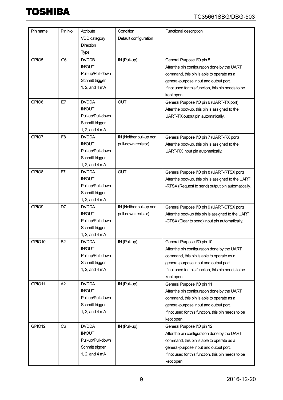| Pin name          | Pin No.        | Attribute         | Condition               | Functional description                              |
|-------------------|----------------|-------------------|-------------------------|-----------------------------------------------------|
|                   |                | VDD category      | Default configuration   |                                                     |
|                   |                | <b>Direction</b>  |                         |                                                     |
|                   |                | <b>Type</b>       |                         |                                                     |
| GPIO <sub>5</sub> | G <sub>6</sub> | <b>DVDDB</b>      | IN (Pull-up)            | General Purpose I/O pin 5                           |
|                   |                | <b>IN/OUT</b>     |                         | After the pin configuration done by the UART        |
|                   |                | Pull-up/Pull-down |                         | command, this pin is able to operate as a           |
|                   |                | Schmitt trigger   |                         | general-purpose input and output port.              |
|                   |                | 1, 2, and 4 mA    |                         | If not used for this function, this pin needs to be |
|                   |                |                   |                         | kept open.                                          |
| GPIO <sub>6</sub> | E7             | <b>DVDDA</b>      | <b>OUT</b>              | General Purpose I/O pin 6 (UART-TX port)            |
|                   |                | <b>IN/OUT</b>     |                         | After the boot-up, this pin is assigned to the      |
|                   |                | Pull-up/Pull-down |                         | UART-TX output pin automatically.                   |
|                   |                | Schmitt trigger   |                         |                                                     |
|                   |                | 1, 2, and 4 mA    |                         |                                                     |
| GPIO7             | F <sub>8</sub> | <b>DVDDA</b>      | IN (Neither pull-up nor | General Purpose I/O pin 7 (UART-RX port)            |
|                   |                | <b>IN/OUT</b>     | pull-down resistor)     | After the boot-up, this pin is assigned to the      |
|                   |                | Pull-up/Pull-down |                         | UART-RX input pin automatically.                    |
|                   |                | Schmitt trigger   |                         |                                                     |
|                   |                | 1, 2, and 4 mA    |                         |                                                     |
| GPIO <sub>8</sub> | F7             | <b>DVDDA</b>      | <b>OUT</b>              | General Purpose I/O pin 8 (UART-RTSX port)          |
|                   |                | <b>IN/OUT</b>     |                         | After the boot-up, this pin is assigned to the UART |
|                   |                | Pull-up/Pull-down |                         | -RTSX (Request to send) output pin automatically.   |
|                   |                | Schmitt trigger   |                         |                                                     |
|                   |                | 1, 2, and 4 mA    |                         |                                                     |
| GPIO9             | D7             | <b>DVDDA</b>      | IN (Neither pull-up nor | General Purpose I/O pin 9 (UART-CTSX port)          |
|                   |                | <b>IN/OUT</b>     | pull-down resistor)     | After the boot-up this pin is assigned to the UART  |
|                   |                | Pull-up/Pull-down |                         | -CTSX (Clear to send) input pin automatically.      |
|                   |                | Schmitt trigger   |                         |                                                     |
|                   |                | 1, 2, and 4 mA    |                         |                                                     |
| GPIO10            | <b>B2</b>      | <b>DVDDA</b>      | IN (Pull-up)            | General Purpose I/O pin 10                          |
|                   |                | <b>IN/OUT</b>     |                         | After the pin configuration done by the UART        |
|                   |                | Pull-up/Pull-down |                         | command, this pin is able to operate as a           |
|                   |                | Schmitt trigger   |                         | general-purpose input and output port.              |
|                   |                | 1, 2, and 4 mA    |                         | If not used for this function, this pin needs to be |
|                   |                |                   |                         | kept open.                                          |
| GPIO11            | A2             | <b>DVDDA</b>      | IN (Pull-up)            | General Purpose I/O pin 11                          |
|                   |                | <b>IN/OUT</b>     |                         | After the pin configuration done by the UART        |
|                   |                | Pull-up/Pull-down |                         | command, this pin is able to operate as a           |
|                   |                | Schmitt trigger   |                         | general-purpose input and output port.              |
|                   |                | 1, 2, and 4 mA    |                         | If not used for this function, this pin needs to be |
|                   |                |                   |                         | kept open.                                          |
| GPIO12            | C <sub>6</sub> | <b>DVDDA</b>      | IN (Pull-up)            | General Purpose I/O pin 12                          |
|                   |                | <b>IN/OUT</b>     |                         | After the pin configuration done by the UART        |
|                   |                | Pull-up/Pull-down |                         | command, this pin is able to operate as a           |
|                   |                | Schmitt trigger   |                         | general-purpose input and output port.              |
|                   |                | 1, 2, and 4 mA    |                         | If not used for this function, this pin needs to be |
|                   |                |                   |                         | kept open.                                          |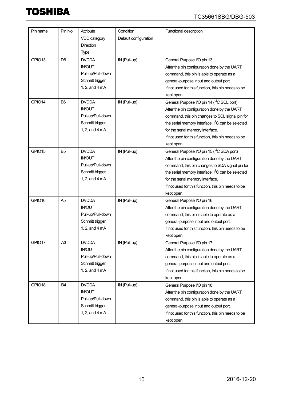| Pin name | Pin No.        | Attribute         | Condition             | Functional description                                 |
|----------|----------------|-------------------|-----------------------|--------------------------------------------------------|
|          |                | VDD category      | Default configuration |                                                        |
|          |                | Direction         |                       |                                                        |
|          |                | <b>Type</b>       |                       |                                                        |
| GPIO13   | D <sub>8</sub> | <b>DVDDA</b>      | IN (Pull-up)          | General Purpose I/O pin 13                             |
|          |                | <b>IN/OUT</b>     |                       | After the pin configuration done by the UART           |
|          |                | Pull-up/Pull-down |                       | command, this pin is able to operate as a              |
|          |                | Schmitt trigger   |                       | general-purpose input and output port.                 |
|          |                | 1, 2, and 4 mA    |                       | If not used for this function, this pin needs to be    |
|          |                |                   |                       | kept open.                                             |
| GPIO14   | B <sub>6</sub> | <b>DVDDA</b>      | IN (Pull-up)          | General Purpose I/O pin 14 (I <sup>2</sup> C SCL port) |
|          |                | <b>IN/OUT</b>     |                       | After the pin configuration done by the UART           |
|          |                | Pull-up/Pull-down |                       | command, this pin changes to SCL signal pin for        |
|          |                | Schmitt trigger   |                       | the serial memory interface. $I^2C$ can be selected    |
|          |                | 1, 2, and 4 mA    |                       | for the serial memory interface.                       |
|          |                |                   |                       | If not used for this function, this pin needs to be    |
|          |                |                   |                       | kept open.                                             |
| GPIO15   | B <sub>5</sub> | <b>DVDDA</b>      | IN (Pull-up)          | General Purpose I/O pin 15 (I <sup>2</sup> C SDA port) |
|          |                | <b>IN/OUT</b>     |                       | After the pin configuration done by the UART           |
|          |                | Pull-up/Pull-down |                       | command, this pin changes to SDA signal pin for        |
|          |                | Schmitt trigger   |                       | the serial memory interface. $I^2C$ can be selected    |
|          |                | 1, 2, and 4 mA    |                       | for the serial memory interface.                       |
|          |                |                   |                       | If not used for this function, this pin needs to be    |
|          |                |                   |                       | kept open.                                             |
| GPIO16   | A <sub>5</sub> | <b>DVDDA</b>      | IN (Pull-up)          | General Purpose I/O pin 16                             |
|          |                | <b>IN/OUT</b>     |                       | After the pin configuration done by the UART           |
|          |                | Pull-up/Pull-down |                       | command, this pin is able to operate as a              |
|          |                | Schmitt trigger   |                       | general-purpose input and output port.                 |
|          |                | 1, 2, and 4 mA    |                       | If not used for this function, this pin needs to be    |
|          |                |                   |                       | kept open.                                             |
| GPIO17   | A <sub>3</sub> | <b>DVDDA</b>      | IN (Pull-up)          | General Purpose I/O pin 17                             |
|          |                | <b>IN/OUT</b>     |                       | After the pin configuration done by the UART           |
|          |                | Pull-up/Pull-down |                       | command, this pin is able to operate as a              |
|          |                | Schmitt trigger   |                       | general-purpose input and output port.                 |
|          |                | 1, 2, and 4 mA    |                       | If not used for this function, this pin needs to be    |
|          |                |                   |                       | kept open.                                             |
| GPIO18   | <b>B4</b>      | <b>DVDDA</b>      | IN (Pull-up)          | General Purpose I/O pin 18                             |
|          |                | <b>IN/OUT</b>     |                       | After the pin configuration done by the UART           |
|          |                | Pull-up/Pull-down |                       | command, this pin is able to operate as a              |
|          |                | Schmitt trigger   |                       | general-purpose input and output port.                 |
|          |                | 1, 2, and 4 mA    |                       | If not used for this function, this pin needs to be    |
|          |                |                   |                       | kept open.                                             |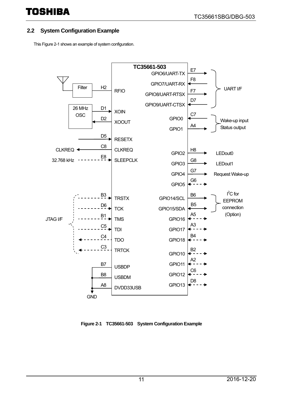### <span id="page-10-0"></span>**2.2 System Configuration Example**

Thi[s Figure 2-1](#page-10-1) shows an example of system configuration.



<span id="page-10-1"></span>**Figure 2-1 TC35661-503 System Configuration Example**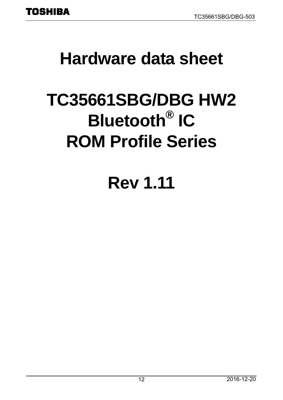# <span id="page-11-0"></span>**Hardware data sheet**

# **TC35661SBG/DBG HW2 Bluetooth® IC ROM Profile Series**

# **Rev 1.11**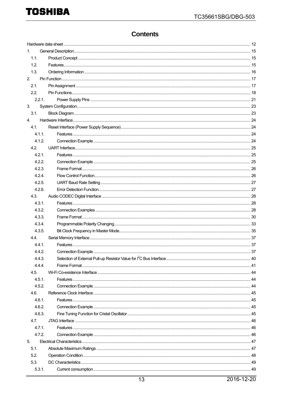### **Contents**

| $1_{-}$ |  |  |  |  |  |
|---------|--|--|--|--|--|
| 1.1.    |  |  |  |  |  |
| 1.2.    |  |  |  |  |  |
| 1.3.    |  |  |  |  |  |
| 2.      |  |  |  |  |  |
| 2.1.    |  |  |  |  |  |
| 2.2.    |  |  |  |  |  |
| 2.2.1.  |  |  |  |  |  |
| 3.      |  |  |  |  |  |
| 3.1.    |  |  |  |  |  |
| 4.      |  |  |  |  |  |
| 4.1.    |  |  |  |  |  |
| 4.1.1.  |  |  |  |  |  |
| 4.1.2.  |  |  |  |  |  |
| 4.2.    |  |  |  |  |  |
| 4.2.1.  |  |  |  |  |  |
| 4.2.2.  |  |  |  |  |  |
| 4.2.3.  |  |  |  |  |  |
| 4.2.4.  |  |  |  |  |  |
| 4.2.5.  |  |  |  |  |  |
| 4.2.6.  |  |  |  |  |  |
| 4.3.    |  |  |  |  |  |
| 4.3.1.  |  |  |  |  |  |
| 4.3.2.  |  |  |  |  |  |
| 4.3.3.  |  |  |  |  |  |
| 4.3.4.  |  |  |  |  |  |
| 4.3.5.  |  |  |  |  |  |
| 4.4.    |  |  |  |  |  |
| 4.4.1.  |  |  |  |  |  |
| 4.4.2.  |  |  |  |  |  |
| 4.4.3.  |  |  |  |  |  |
| 4.4.4.  |  |  |  |  |  |
| 4.5.    |  |  |  |  |  |
| 4.5.1.  |  |  |  |  |  |
| 4.5.2.  |  |  |  |  |  |
| 4.6.    |  |  |  |  |  |
| 4.6.1.  |  |  |  |  |  |
| 4.6.2.  |  |  |  |  |  |
| 4.6.3.  |  |  |  |  |  |
| 4.7.    |  |  |  |  |  |
| 4.7.1.  |  |  |  |  |  |
| 4.7.2.  |  |  |  |  |  |
| 5.      |  |  |  |  |  |
| 5.1.    |  |  |  |  |  |
| 5.2.    |  |  |  |  |  |
| 5.3.    |  |  |  |  |  |
| 5.3.1.  |  |  |  |  |  |
|         |  |  |  |  |  |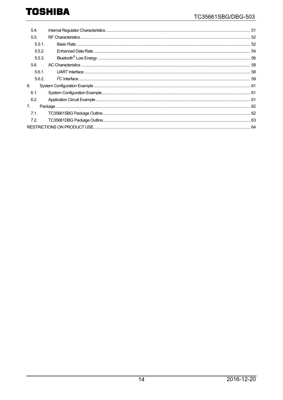| 5.4.           |  |  |  |  |  |
|----------------|--|--|--|--|--|
| 5.5.           |  |  |  |  |  |
| $5.5.1$ .      |  |  |  |  |  |
| 5.5.2.         |  |  |  |  |  |
| 5.5.3.         |  |  |  |  |  |
| 5.6.           |  |  |  |  |  |
| 5.6.1.         |  |  |  |  |  |
| 5.6.2.         |  |  |  |  |  |
| 6.             |  |  |  |  |  |
| 6.1.           |  |  |  |  |  |
| 6.2.           |  |  |  |  |  |
| 7 <sub>1</sub> |  |  |  |  |  |
| 7.1.           |  |  |  |  |  |
| 7.2.           |  |  |  |  |  |
|                |  |  |  |  |  |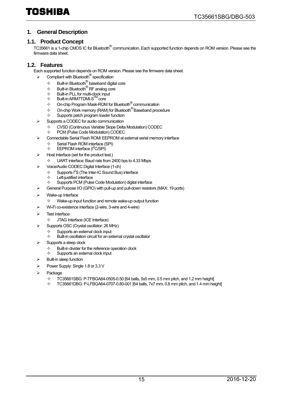#### <span id="page-14-0"></span>**1. General Description**

#### <span id="page-14-1"></span>**1.1. Product Concept**

TC35661 is a 1-chip CMOS IC for Bluetooth® communication. Each supported function depends on ROM version. Please see the firmware data sheet.

#### <span id="page-14-2"></span>**1.2. Features**

Each supported function depends on ROM version. Please see the firmware data sheet.

- $\triangleright$  Compliant with Bluetooth<sup>®</sup> specification
	- $\div$  Built-in Bluetooth<sup>®</sup> baseband digital core
	- $\begin{array}{ll}\n\div & \text{Built-in Bluetooth} \\
	\hline\n\end{array}$  RF analog core
	- $\Leftrightarrow$  Built-in PLL for multi-clock input
	- $\Leftrightarrow$  Built-in ARM7TDMI-S<sup>TM</sup> core
	- $\diamond$  On-chip Program Mask-ROM for Bluetooth  $^{\circledR}$  communication
	- $\diamond$  On-chip Work memory (RAM) for Bluetooth<sup>®</sup> Baseband procedure
	- $\Leftrightarrow$  Supports patch program loader function
- Supports a CODEC for audio communication
	- $\diamond$  CVSD (Continuous Variable Slope Delta Modulation) CODEC<br>  $\diamond$  PCM (Pulse Code Modulation) CODEC
	- PCM (Pulse Code Modulation) CODEC
- Connectable Serial Flash ROM/ EEPROM at external serial memory interface
	- $\diamond$  Serial Flash ROM interface (SPI)<br>  $\diamond$  FFPROM interface ( $\angle$ SPI)
	- $\div$  EEPROM interface ( $l^2C/SPI$ )
- Host Interface (set for the product test.)
	- $\div$  UART interface: Baud rate from 2400 bps to 4.33 Mbps
- Voice/Audio CODEC Digital Interface (1-ch)
	- $\div$  Supports I<sup>2</sup>S (The Inter-IC Sound Bus) interface
		- $\Leftrightarrow$  Left-justified interface
	- $\Diamond$  Supports PCM (Pulse Code Modulation) digital interface
- General Purpose I/O (GPIO) with pull-up and pull-down resistors (MAX: 19 ports)
- Wake-up Interface
	- $\Diamond$  Wake-up input function and remote wake-up output function
- Wi-Fi co-existence interface (2-wire, 3-wire and 4-wire)
- Test Interface
	- $\Diamond$  JTAG Interface (ICE Interface)
- Supports OSC (Crystal oscillator: 26 MHz)
	- $\diamondsuit$  Supports an external clock input<br>  $\diamondsuit$  Built-in oscillation circuit for an ex
	- Built-in oscillation circuit for an external crystal oscillator
- Supports a sleep clock
	- $\Leftrightarrow$  Built-in divider for the reference operation clock
	- $\Leftrightarrow$  Supports an external clock input
- Built-in sleep function
- Power Supply: Single 1.8 or 3.3 V
- Package
	- $\diamond$  TC35661SBG: P-TFBGA64-0505-0.50 [64 balls, 5x5 mm, 0.5 mm pitch, and 1.2 mm height]<br> $\diamond$  TC35661DBG: PJ EBGA64-0707-0.80-001 [64 balls, 7x7 mm, 0.8 mm pitch, and 1.4 mm he
	- TC35661DBG: P-LFBGA64-0707-0.80-001 [64 balls, 7x7 mm, 0.8 mm pitch, and 1.4 mm height]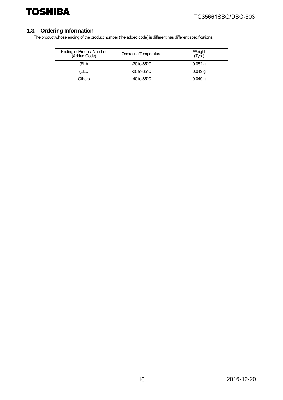### <span id="page-15-0"></span>**1.3. Ordering Information**

The product whose ending of the product number (the added code) is different has different specifications.

| <b>Ending of Product Number</b><br>(Added Code) | <b>Operating Temperature</b> | Weight<br>'Typ.) |
|-------------------------------------------------|------------------------------|------------------|
| (ELA                                            | $-20$ to $85^{\circ}$ C      | $0.052$ g        |
| (ELC                                            | $-20$ to $85^{\circ}$ C      | $0.049$ g        |
| Others                                          | $-40$ to 85 $^{\circ}$ C     | 0.049q           |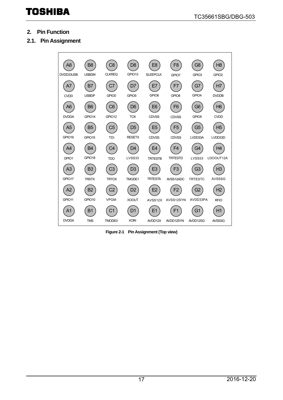- <span id="page-16-0"></span>**2. Pin Function**
- <span id="page-16-1"></span>**2.1. Pin Assignment**



**Figure 2-1 Pin Assignment (Top view)**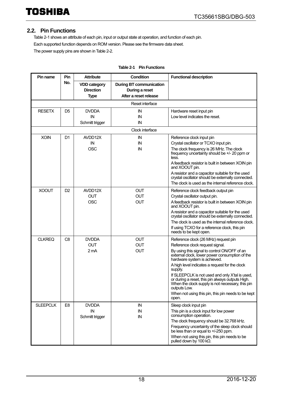#### <span id="page-17-0"></span>**2.2. Pin Functions**

[Table 2-1](#page-17-1) shows an attribute of each pin, input or output state at operation, and function of each pin. Each supported function depends on ROM version. Please see the firmware data sheet. The power supply pins are shown i[n Table 2-2.](#page-20-1) 

<span id="page-17-1"></span>

| Pin name        | Pin            | <b>Attribute</b>                                       | <b>Condition</b>                                                          | <b>Functional description</b>                                                                                                                                                                                                                                                                                                                                                                                                                                                                                    |
|-----------------|----------------|--------------------------------------------------------|---------------------------------------------------------------------------|------------------------------------------------------------------------------------------------------------------------------------------------------------------------------------------------------------------------------------------------------------------------------------------------------------------------------------------------------------------------------------------------------------------------------------------------------------------------------------------------------------------|
|                 | No.            | <b>VDD category</b><br><b>Direction</b><br><b>Type</b> | <b>During BT communication</b><br>During a reset<br>After a reset release |                                                                                                                                                                                                                                                                                                                                                                                                                                                                                                                  |
|                 |                |                                                        | Reset interface                                                           |                                                                                                                                                                                                                                                                                                                                                                                                                                                                                                                  |
| <b>RESETX</b>   | D <sub>5</sub> | <b>DVDDA</b><br>IN<br>Schmitt trigger                  | IN<br>IN<br>IN                                                            | Hardware reset input pin<br>Low level indicates the reset.                                                                                                                                                                                                                                                                                                                                                                                                                                                       |
|                 |                |                                                        | Clock interface                                                           |                                                                                                                                                                                                                                                                                                                                                                                                                                                                                                                  |
| <b>XOIN</b>     | D1             | AVDD12X<br>IN<br><b>OSC</b>                            | IN<br>IN<br>IN                                                            | Reference clock input pin<br>Crystal oscillator or TCXO input pin.<br>The clock frequency is 26 MHz. The clock<br>frequency uncertainty should be +/- 20 ppm or<br>less.<br>A feedback resistor is built in between XOIN pin<br>and XOOUT pin.<br>A resistor and a capacitor suitable for the used<br>crystal oscillator should be externally connected.<br>The clock is used as the internal reference clock.                                                                                                   |
| <b>XOOUT</b>    | D <sub>2</sub> | AVDD12X<br><b>OUT</b><br><b>OSC</b>                    | <b>OUT</b><br><b>OUT</b><br><b>OUT</b>                                    | Reference clock feedback output pin<br>Crystal oscillator output pin.<br>A feedback resistor is built in between XOIN pin<br>and XOOUT pin.<br>A resistor and a capacitor suitable for the used<br>crystal oscillator should be externally connected.<br>The clock is used as the internal reference clock.<br>If using TCXO for a reference clock, this pin<br>needs to be kept open.                                                                                                                           |
| <b>CLKREQ</b>   | C <sub>8</sub> | <b>DVDDA</b><br><b>OUT</b><br>2 <sub>m</sub> A         | <b>OUT</b><br><b>OUT</b><br><b>OUT</b>                                    | Reference clock (26 MHz) request pin<br>Reference clock request signal.<br>By using this signal to control ON/OFF of an<br>external clock, lower power consumption of the<br>hardware system is achieved.<br>A high level indicates a request for the clock<br>supply.<br>If SLEEPCLK is not used and only X'tal is used,<br>or during a reset, this pin always outputs High.<br>When the clock supply is not necessary, this pin<br>outputs Low.<br>When not using this pin, this pin needs to be kept<br>open. |
| <b>SLEEPCLK</b> | E <sub>8</sub> | <b>DVDDA</b><br>$\sf IN$<br>Schmitt trigger            | IN<br>IN<br>IN                                                            | Sleep clock input pin<br>This pin is a clock input for low power<br>consumption operation.<br>The clock frequency should be 32.768 kHz.<br>Frequency uncertainty of the sleep clock should<br>be less than or equal to +/-250 ppm.<br>When not using this pin, this pin needs to be<br>pulled down by 100 k $\Omega$ .                                                                                                                                                                                           |

#### **Table 2-1 Pin Functions**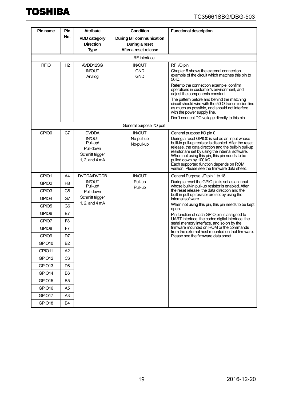| Pin name                   | Pin                  | <b>Attribute</b>                                                            | Condition                                                                 | <b>Functional description</b>                                                                                                                                                                                                                                                                                                                                                            |
|----------------------------|----------------------|-----------------------------------------------------------------------------|---------------------------------------------------------------------------|------------------------------------------------------------------------------------------------------------------------------------------------------------------------------------------------------------------------------------------------------------------------------------------------------------------------------------------------------------------------------------------|
|                            | No.                  | <b>VDD category</b><br><b>Direction</b><br><b>Type</b>                      | <b>During BT communication</b><br>During a reset<br>After a reset release |                                                                                                                                                                                                                                                                                                                                                                                          |
|                            |                      |                                                                             | <b>RF</b> interface                                                       |                                                                                                                                                                                                                                                                                                                                                                                          |
| <b>RFIO</b>                | H <sub>2</sub>       | AVDD12SG<br><b>IN/OUT</b><br>Analog                                         | <b>IN/OUT</b><br><b>GND</b><br><b>GND</b>                                 | RF I/O pin<br>Chapter 6 shows the external connection<br>example of the circuit which matches this pin to<br>$50 \Omega$ .<br>Refer to the connection example, confirm<br>operations in customer's environment, and<br>adjust the components constant.<br>The pattern before and behind the matching<br>circuit should wire with the 50 $\Omega$ transmission line                       |
|                            |                      |                                                                             |                                                                           | as much as possible, and should not interfere<br>with the power supply line.<br>Don't connect DC voltage directly to this pin.                                                                                                                                                                                                                                                           |
|                            |                      |                                                                             | General purpose I/O port                                                  |                                                                                                                                                                                                                                                                                                                                                                                          |
| GPIO0                      | C7                   | <b>DVDDA</b>                                                                | <b>IN/OUT</b>                                                             | General purpose I/O pin 0                                                                                                                                                                                                                                                                                                                                                                |
|                            |                      | <b>IN/OUT</b><br>Pull-up/<br>Pull-down<br>Schmitt trigger<br>1, 2, and 4 mA | No-pull-up<br>No-pull-up                                                  | During a reset GPIO0 is set as an input whose<br>built-in pull-up resistor is disabled. After the reset<br>release, the data direction and the built-in pull-up<br>resistor are set by using the internal software.<br>When not using this pin, this pin needs to be<br>pulled down by 100 kΩ.<br>Each supported function depends on ROM<br>version. Please see the firmware data sheet. |
| GPIO1                      | A4                   | <b>DVDDA/DVDDB</b>                                                          | <b>IN/OUT</b>                                                             | General Purpose I/O pin 1 to 18                                                                                                                                                                                                                                                                                                                                                          |
| GPIO <sub>2</sub>          | H8                   | <b>IN/OUT</b><br>Pull-up/                                                   | Pull-up                                                                   | During a reset the GPIO pin is set as an input<br>whose built-in pull-up resistor is enabled. After                                                                                                                                                                                                                                                                                      |
| GPIO <sub>3</sub><br>GPIO4 | G <sub>8</sub><br>G7 | Pull-down<br>Schmitt trigger                                                | Pull-up                                                                   | the reset release, the data direction and the<br>built-in pull-up resistor are set by using the                                                                                                                                                                                                                                                                                          |
| GPIO <sub>5</sub>          | G6                   | 1, 2, and 4 mA                                                              |                                                                           | internal software.<br>When not using this pin, this pin needs to be kept                                                                                                                                                                                                                                                                                                                 |
| GPIO <sub>6</sub>          | E7                   |                                                                             |                                                                           | open.                                                                                                                                                                                                                                                                                                                                                                                    |
| GPIO7                      | F8                   |                                                                             |                                                                           | Pin function of each GPIO pin is assigned to<br>UART interface, the codec digital interface, the                                                                                                                                                                                                                                                                                         |
| GPIO <sub>8</sub>          | F7                   |                                                                             |                                                                           | serial memory interface, and so on by the<br>firmware mounted on ROM or the commands                                                                                                                                                                                                                                                                                                     |
| GPIO <sub>9</sub>          | D7                   |                                                                             |                                                                           | from the external host mounted on that firmware.<br>Please see the firmware data sheet.                                                                                                                                                                                                                                                                                                  |
| GPIO10                     | B <sub>2</sub>       |                                                                             |                                                                           |                                                                                                                                                                                                                                                                                                                                                                                          |
| GPIO11                     | A <sub>2</sub>       |                                                                             |                                                                           |                                                                                                                                                                                                                                                                                                                                                                                          |
| GPIO12                     | C <sub>6</sub>       |                                                                             |                                                                           |                                                                                                                                                                                                                                                                                                                                                                                          |
| GPIO <sub>13</sub>         | D <sub>8</sub>       |                                                                             |                                                                           |                                                                                                                                                                                                                                                                                                                                                                                          |
| GPIO14                     | B <sub>6</sub>       |                                                                             |                                                                           |                                                                                                                                                                                                                                                                                                                                                                                          |
| GPIO15                     | B <sub>5</sub>       |                                                                             |                                                                           |                                                                                                                                                                                                                                                                                                                                                                                          |
| GPIO16                     | A5                   |                                                                             |                                                                           |                                                                                                                                                                                                                                                                                                                                                                                          |
| GPIO17                     | A3                   |                                                                             |                                                                           |                                                                                                                                                                                                                                                                                                                                                                                          |
| GPIO18                     | B4                   |                                                                             |                                                                           |                                                                                                                                                                                                                                                                                                                                                                                          |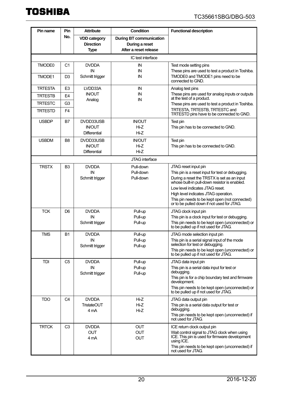| <b>Pin name</b> | Pin            | <b>Attribute</b>                                | <b>Condition</b>                                                          | <b>Functional description</b>                                                                |
|-----------------|----------------|-------------------------------------------------|---------------------------------------------------------------------------|----------------------------------------------------------------------------------------------|
|                 | No.            | <b>VDD category</b><br><b>Direction</b><br>Type | <b>During BT communication</b><br>During a reset<br>After a reset release |                                                                                              |
|                 |                |                                                 | IC test interface                                                         |                                                                                              |
| TMODE0          | C <sub>1</sub> | <b>DVDDA</b><br>IN                              | IN<br>IN                                                                  | Test mode setting pins<br>These pins are used to test a product in Toshiba.                  |
| TMODE1          | D <sub>3</sub> | Schmitt trigger                                 | IN                                                                        | TMODE0 and TMODE1 pins need to be<br>connected to GND.                                       |
| <b>TRTESTA</b>  | E3             | LVDD33A                                         | IN                                                                        | Analog test pins                                                                             |
| <b>TRTESTB</b>  | E4             | <b>IN/OUT</b>                                   | IN<br>IN                                                                  | These pins are used for analog inputs or outputs<br>at the test of a product.                |
| <b>TRTESTC</b>  | G <sub>3</sub> | Analog                                          |                                                                           | These pins are used to test a product in Toshiba.                                            |
| <b>TRTESTD</b>  | F4             |                                                 |                                                                           | TRTESTA, TRTESTB, TRTESTC and<br>TRTESTD pins have to be connected to GND.                   |
| <b>USBDP</b>    | B7             | DVDD33USB                                       | <b>IN/OUT</b>                                                             | Test pin                                                                                     |
|                 |                | <b>IN/OUT</b><br><b>Differential</b>            | $Hi-Z$<br>$Hi-Z$                                                          | This pin has to be connected to GND.                                                         |
| <b>USBDM</b>    |                | DVDD33USB                                       | <b>IN/OUT</b>                                                             |                                                                                              |
|                 | B8             | <b>IN/OUT</b>                                   | $Hi-Z$                                                                    | Test pin<br>This pin has to be connected to GND.                                             |
|                 |                | <b>Differential</b>                             | Hi-Z                                                                      |                                                                                              |
|                 |                |                                                 | JTAG interface                                                            |                                                                                              |
| <b>TRSTX</b>    | B3             | <b>DVDDA</b>                                    | Pull-down                                                                 | JTAG reset input pin                                                                         |
|                 |                | IN                                              | Pull-down                                                                 | This pin is a reset input for test or debugging.                                             |
|                 |                | Schmitt trigger                                 | Pull-down                                                                 | During a reset the TRSTX is set as an input<br>whose built-in pull-down resistor is enabled. |
|                 |                |                                                 |                                                                           | Low level indicates JTAG reset.                                                              |
|                 |                |                                                 |                                                                           | High level indicates JTAG operation.                                                         |
|                 |                |                                                 |                                                                           | This pin needs to be kept open (not connected)<br>or to be pulled down if not used for JTAG. |
| <b>TCK</b>      | D6             | <b>DVDDA</b>                                    | Pull-up                                                                   | JTAG clock input pin                                                                         |
|                 |                | IN                                              | Pull-up                                                                   | This pin is a clock input for test or debugging.                                             |
|                 |                | Schmitt trigger                                 | Pull-up                                                                   | This pin needs to be kept open (unconnected) or<br>to be pulled up if not used for JTAG.     |
| <b>TMS</b>      | Β1             | <b>DVDDA</b>                                    | Pull-up                                                                   | JTAG mode selection input pin                                                                |
|                 |                | IN                                              | Pull-up<br>Pull-up                                                        | This pin is a serial signal input of the mode<br>selection for test or debugging.            |
|                 |                | Schmitt trigger                                 |                                                                           | This pin needs to be kept open (unconnected) or                                              |
|                 |                |                                                 |                                                                           | to be pulled up if not used for JTAG.                                                        |
| <b>TDI</b>      | C <sub>5</sub> | <b>DVDDA</b>                                    | Pull-up                                                                   | JTAG data input pin                                                                          |
|                 |                | IN<br>Schmitt trigger                           | Pull-up<br>Pull-up                                                        | This pin is a serial data input for test or<br>debugging.                                    |
|                 |                |                                                 |                                                                           | This pin is for a chip boundary test and firmware                                            |
|                 |                |                                                 |                                                                           | development.<br>This pin needs to be kept open (unconnected) or                              |
|                 |                |                                                 |                                                                           | to be pulled up if not used for JTAG.                                                        |
| <b>TDO</b>      | C4             | <b>DVDDA</b>                                    | Hi-Z                                                                      | JTAG data output pin                                                                         |
|                 |                | <b>TristateOUT</b><br>4 mA                      | $Hi-Z$<br>$Hi-Z$                                                          | This pin is a serial data output for test or<br>debugging.                                   |
|                 |                |                                                 |                                                                           | This pin needs to be kept open (unconnected) if<br>not used for JTAG.                        |
| <b>TRTCK</b>    | C <sub>3</sub> | <b>DVDDA</b>                                    | <b>OUT</b>                                                                | ICE return clock output pin                                                                  |
|                 |                | <b>OUT</b>                                      | <b>OUT</b>                                                                | Wait control signal to JTAG clock when using                                                 |
|                 |                | 4 mA                                            | <b>OUT</b>                                                                | ICE. This pin is used for firmware development<br>using ICE.                                 |
|                 |                |                                                 |                                                                           | This pin needs to be kept open (unconnected) if<br>not used for JTAG.                        |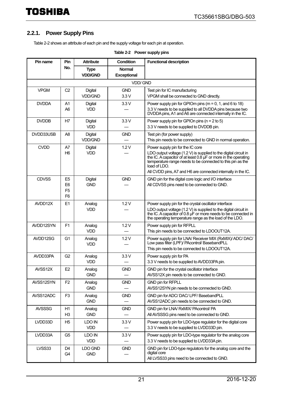#### <span id="page-20-0"></span>**2.2.1. Power Supply Pins**

<span id="page-20-1"></span>[Table 2-2](#page-20-1) shows an attribute of each pin and the supply voltage for each pin at operation.

| Pin name      | <b>Pin</b>                                                           | <b>Attribute</b>                 | Condition                    | <b>Functional description</b>                                                                                                                                                                                                                                                                                            |  |  |  |
|---------------|----------------------------------------------------------------------|----------------------------------|------------------------------|--------------------------------------------------------------------------------------------------------------------------------------------------------------------------------------------------------------------------------------------------------------------------------------------------------------------------|--|--|--|
|               | No.                                                                  | <b>Type</b><br><b>VDD/GND</b>    | <b>Normal</b><br>Exceptional |                                                                                                                                                                                                                                                                                                                          |  |  |  |
|               | <b>VDD/GND</b>                                                       |                                  |                              |                                                                                                                                                                                                                                                                                                                          |  |  |  |
| <b>VPGM</b>   | C <sub>2</sub>                                                       | <b>Digital</b><br><b>VDD/GND</b> | <b>GND</b><br>3.3V           | Test pin for IC manufacturing<br>VPGM shall be connected to GND directly.                                                                                                                                                                                                                                                |  |  |  |
| <b>DVDDA</b>  | A1<br>A <sub>6</sub>                                                 | <b>Digital</b><br><b>VDD</b>     | 3.3V                         | Power supply pin for GPIOm pins ( $m = 0$ , 1, and 6 to 18)<br>3.3 V needs to be supplied to all DVDDA pins because two<br>DVDDA pins, A1 and A6 are connected internally in the IC.                                                                                                                                     |  |  |  |
| <b>DVDDB</b>  | H7                                                                   | <b>Digital</b><br><b>VDD</b>     | 3.3V                         | Power supply pin for GPIOn pins ( $n = 2$ to 5)<br>3.3 V needs to be supplied to DVDDB pin.                                                                                                                                                                                                                              |  |  |  |
| DVDD33USB     | A8                                                                   | Digital<br><b>VDD/GND</b>        | <b>GND</b>                   | Test pin (for power supply)<br>This pin needs to be connected to GND in normal operation.                                                                                                                                                                                                                                |  |  |  |
| <b>CVDD</b>   | A7<br>H6                                                             | <b>Digital</b><br><b>VDD</b>     | 1.2V                         | Power supply pin for the IC core<br>LDO output voltage (1.2 V) is supplied to the digital circuit in<br>the IC. A capacitor of at least 0.8 µF or more in the operating<br>temperature range needs to be connected to this pin as the<br>load of $1$ DO.<br>All CVDD pins, A7 and H6 are connected internally in the IC. |  |  |  |
| <b>CDVSS</b>  | E <sub>5</sub><br>E <sub>6</sub><br>F <sub>5</sub><br>F <sub>6</sub> | <b>Digital</b><br><b>GND</b>     | <b>GND</b>                   | GND pin for the digital core logic and I/O interface<br>All CDVSS pins need to be connected to GND.                                                                                                                                                                                                                      |  |  |  |
| AVDD12X       | E1                                                                   | Analog<br><b>VDD</b>             | 1.2V                         | Power supply pin for the crystal oscillator interface<br>LDO output voltage (1.2 V) is supplied to the digital circuit in<br>the IC. A capacitor of 0.8 µF or more needs to be connected in<br>the operating temperature range as the load of the LDO.                                                                   |  |  |  |
| AVDD12SYN     | F <sub>1</sub>                                                       | Analog<br><b>VDD</b>             | 1.2V                         | Power supply pin for RFPLL<br>This pin needs to be connected to LDOOUT12A.                                                                                                                                                                                                                                               |  |  |  |
| AVDD12SG      | G <sub>1</sub>                                                       | Analog<br><b>VDD</b>             | 1.2V                         | Power supply pin for LNA/ Receiver MIX (RxMIX)/ ADC/ DAC/<br>Low pass filter (LPF)/ PAcontrol/ BasebandPLL<br>This pin needs to be connected to LDOOUT12A.                                                                                                                                                               |  |  |  |
| AVDD33PA      | G <sub>2</sub>                                                       | Analog<br><b>VDD</b>             | 3.3V                         | Power supply pin for PA<br>3.3 V needs to be supplied to AVDD33PA pin.                                                                                                                                                                                                                                                   |  |  |  |
| AVSS12X       | E <sub>2</sub>                                                       | Analog<br><b>GND</b>             | <b>GND</b>                   | GND pin for the crystal oscillator interface<br>AVSS12X pin needs to be connected to GND.                                                                                                                                                                                                                                |  |  |  |
| AVSS12SYN     | F <sub>2</sub>                                                       | Analog<br><b>GND</b>             | <b>GND</b>                   | <b>GND pin for RFPLL</b><br>AVSS12SYN pin needs to be connected to GND.                                                                                                                                                                                                                                                  |  |  |  |
| AVSS12ADC     | F <sub>3</sub>                                                       | Analog<br><b>GND</b>             | <b>GND</b>                   | GND pin for ADC/ DAC/ LPF/ BasebandPLL<br>AVSS12ADC pin needs to be connected to GND.                                                                                                                                                                                                                                    |  |  |  |
| <b>AVSSSG</b> | H1<br>H <sub>3</sub>                                                 | Analog<br><b>GND</b>             | <b>GND</b>                   | GND pin for LNA/ RxMIX/ PAcontrol/ PA<br>All AVSSSG pins need to be connected to GND.                                                                                                                                                                                                                                    |  |  |  |
| LVDD33D       | H <sub>5</sub>                                                       | LDO IN<br><b>VDD</b>             | 3.3V                         | Power supply pin for LDO-type regulator for the digital core<br>3.3 V needs to be supplied to LVDD33D pin.                                                                                                                                                                                                               |  |  |  |
| LVDD33A       | G <sub>5</sub>                                                       | LDO IN<br><b>VDD</b>             | 3.3V                         | Power supply pin for LDO-type regulator for the analog core<br>3.3 V needs to be supplied to LVDD33A pin.                                                                                                                                                                                                                |  |  |  |
| LVSS33        | D4<br>G4                                                             | LDO GND<br><b>GND</b>            | <b>GND</b>                   | GND pin for LDO-type regulators for the analog core and the<br>digital core<br>All LVSS33 pins need to be connected to GND.                                                                                                                                                                                              |  |  |  |

#### **Table 2-2 Power supply pins**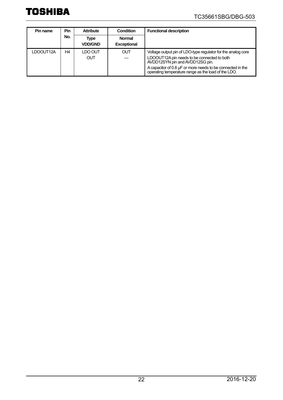### TC35661SBG/DBG-503

| Pin name  | Pin | <b>Attribute</b>       | Condition                           | <b>Functional description</b>                                                                                                                                                                                                                                       |
|-----------|-----|------------------------|-------------------------------------|---------------------------------------------------------------------------------------------------------------------------------------------------------------------------------------------------------------------------------------------------------------------|
|           | No. | Type<br><b>VDD/GND</b> | <b>Normal</b><br><b>Exceptional</b> |                                                                                                                                                                                                                                                                     |
| LDOOUT12A | Η4  | LDO OUT<br><b>OUT</b>  | <b>OUT</b>                          | Voltage output pin of LDO-type regulator for the analog core<br>LDOOUT12A pin needs to be connected to both<br>AVDD12SYN pin and AVDD12SG pin.<br>A capacitor of 0.8 µF or more needs to be connected in the<br>operating temperature range as the load of the LDO. |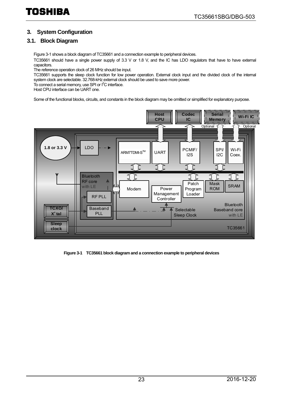#### <span id="page-22-0"></span>**3. System Configuration**

#### <span id="page-22-1"></span>**3.1. [Block Diagram](#page-22-2)**

[Figure 3-1 s](#page-22-3)hows a block diagram of TC35661 and a connection example to peripheral devices.

TC35661 should have a single power supply of 3.3 V or 1.8 V, and the IC has LDO regulators that have to have external capacitors.

The reference operation clock of 26 MHz should be input.

TC35661 supports the sleep clock function for low power operation. External clock input and the divided clock of the internal system clock are selectable. 32.768-kHz external clock should be used to save more power.

To connect a serial memory, use SPI or I<sup>2</sup>C interface.

Host CPU interface can be UART one.

Some of the functional blocks, circuits, and constants in the block diagram may be omitted or simplified for explanatory purpose.



<span id="page-22-3"></span><span id="page-22-2"></span>**Figure 3-1 TC35661 block diagram and a connection example to peripheral devices**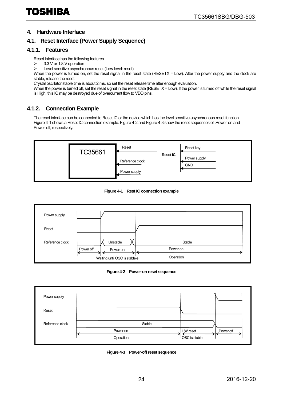#### <span id="page-23-0"></span>**4. Hardware Interface**

#### <span id="page-23-1"></span>**4.1. Reset Interface (Power Supply Sequence)**

#### <span id="page-23-2"></span>**4.1.1. Features**

Reset interface has the following features.

- 3.3 V or 1.8 V operation
- $\triangleright$  Level sensitive asynchronous reset (Low level: reset)

When the power is turned on, set the reset signal in the reset state (RESETX = Low). After the power supply and the clock are stable, release the reset.

Crystal oscillator stable time is about 2 ms, so set the reset release time after enough evaluation.

When the power is turned off, set the reset signal in the reset state (RESETX = Low). If the power is turned off while the reset signal is High, this IC may be destroyed due of overcurrent flow to VDD pins.

#### <span id="page-23-3"></span>**4.1.2. Connection Example**

The reset interface can be connected to Reset IC or the device which has the level sensitive asynchronous reset function. [Figure 4-1 s](#page-23-4)hows a Reset IC connection example[. Figure 4-2 a](#page-23-5)n[d Figure 4-3](#page-23-6) show the reset sequences of .Power-on and Power-off, respectively.



**Figure 4-1 Rest IC connection example**

<span id="page-23-4"></span>

**Figure 4-2 Power-on reset sequence**

<span id="page-23-6"></span><span id="page-23-5"></span>

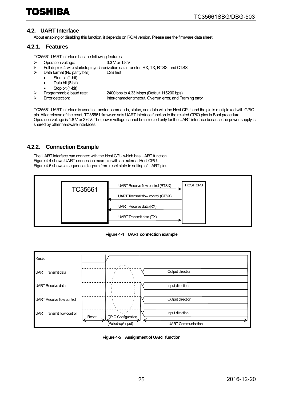#### <span id="page-24-0"></span>**4.2. UART Interface**

About enabling or disabling this function, it depends on ROM version. Please see the firmware data sheet.

#### <span id="page-24-1"></span>**4.2.1. Features**

TC35661 UART interface has the following features.

- Operation voltage: 3.3 V or 1.8 V
- $\triangleright$  Full-duplex 4-wire start/stop synchronization data transfer: RX, TX, RTSX, and CTSX<br>  $\triangleright$  Data format (No parity bits): LSB first
	- Data format (No parity bits):
		- Start bit (1-bit)
		- Data bit (8-bit)
		- Stop bit (1-bit)
- - Programmable baud rate: 2400 bps to 4.33 Mbps (Default 115200 bps)
- 
- Inter-character timeout, Overrun error, and Framing error

TC35661 UART interface is used to transfer commands, status, and data with the Host CPU, and the pin is multiplexed with GPIO pin. After release of the reset, TC35661 firmware sets UART interface function to the related GPIO pins in Boot procedure. Operation voltage is 1.8 V or 3.6 V. The power voltage cannot be selected only for the UART interface because the power supply is shared by other hardware interfaces.

#### <span id="page-24-2"></span>**4.2.2. Connection Example**

The UART interface can connect with the Host CPU which has UART function. [Figure 4-4 s](#page-24-3)hows UART connection example with an external Host CPU. [Figure 4-5 s](#page-24-4)hows a sequence diagram from reset state to setting of UART pins.



**Figure 4-4 UART connection example**

<span id="page-24-3"></span>

<span id="page-24-4"></span>**Figure 4-5 Assignment of UART function**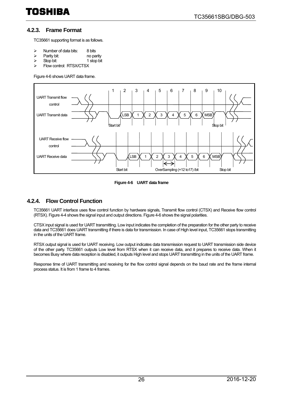#### <span id="page-25-0"></span>**4.2.3. Frame Format**

TC35661 supporting format is as follows.

- $\geq$  Number of data bits: 8 bits<br> $\geq$  Parity bit: no parity
- Parity bit:<br>
Stop bit:<br>
1 stop bit
- $\triangleright$  Stop bit:<br> $\triangleright$  Flow cor
- Flow control: RTSX/CTSX

[Figure 4-6 s](#page-25-2)hows UART data frame.



**Figure 4-6 UART data frame**

#### <span id="page-25-2"></span><span id="page-25-1"></span>**4.2.4. Flow Control Function**

TC35661 UART interface uses flow control function by hardware signals, Transmit flow control (CTSX) and Receive flow control (RTSX)[. Figure 4-4 s](#page-24-3)hows the signal input and output directions[. Figure 4-6 s](#page-25-2)hows the signal polarities.

CTSX input signal is used for UART transmitting. Low input indicates the completion of the preparation for the other party to receive data and TC35661 does UART transmitting if there is data for transmission. In case of High level input, TC35661 stops transmitting in the units of the UART frame.

RTSX output signal is used for UART receiving. Low output indicates data transmission request to UART transmission side device of the other party. TC35661 outputs Low level from RTSX when it can receive data, and it prepares to receive data. When it becomes Busy where data reception is disabled, it outputs High level and stops UART transmitting in the units of the UART frame.

Response time of UART transmitting and receiving for the flow control signal depends on the baud rate and the frame internal process status. It is from 1 frame to 4 frames.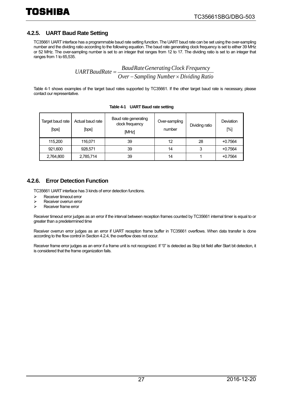#### <span id="page-26-0"></span>**4.2.5. UART Baud Rate Setting**

TC35661 UART interface has a programmable baud rate setting function. The UART baud rate can be set using the over-sampling number and the dividing ratio according to the following equation. The baud rate generating clock frequency is set to either 39 MHz or 52 MHz. The over-sampling number is set to an integer that ranges from 12 to 17. The dividing ratio is set to an integer that ranges from 1 to 65,535.

*Over SaudRate Generating Clock Frequency*<br>*Over* – *Sampling Number* × *Dividing Ratio* 

<span id="page-26-2"></span>[Table 4-1](#page-26-2) shows examples of the target baud rates supported by TC35661. If the other target baud rate is necessary, please contact our representative.

| Target baud rate<br>[bps] | Actual baud rate<br>[bps] | Baud rate generating<br>clock frequency<br>[MHz] | Over-sampling<br>number | Dividing ratio | Deviation<br>[%] |
|---------------------------|---------------------------|--------------------------------------------------|-------------------------|----------------|------------------|
| 115.200                   | 116.071                   | 39                                               | 12                      | 28             | $+0.7564$        |
| 921,600                   | 928,571                   | 39                                               | 14                      | 3              | $+0.7564$        |
| 2,764,800                 | 2,785,714                 | 39                                               | 14                      |                | $+0.7564$        |

**Table 4-1 UART Baud rate setting**

#### <span id="page-26-1"></span>**4.2.6. Error Detection Function**

TC35661 UART interface has 3 kinds of error detection functions.

- $\triangleright$  Receiver timeout error<br> $\triangleright$  Receiver overrun error
- $\triangleright$  Receiver overrun error<br> $\triangleright$  Receiver frame error
- Receiver frame error

Receiver timeout error judges as an error if the interval between reception frames counted by TC35661 internal timer is equal to or greater than a predetermined time

Receiver overrun error judges as an error if UART reception frame buffer in TC35661 overflows. When data transfer is done according to the flow control in Section 4.2.4, the overflow does not occur.

Receiver frame error judges as an error if a frame unit is not recognized. If "0" is detected as Stop bit field after Start bit detection, it is considered that the frame organization fails.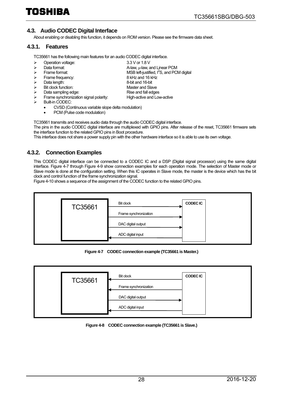#### <span id="page-27-0"></span>**4.3. Audio CODEC Digital Interface**

About enabling or disabling this function, it depends on ROM version. Please see the firmware data sheet.

#### <span id="page-27-1"></span>**4.3.1. Features**

TC35661 has the following main features for an audio CODEC digital interface.

- ia → Deperation voltage: 3.3 V or 1.8 V<br>
⇒ Data format: 20 Deta format: 4. A-law, μ-law, ε  $\triangleright$  Data format:  $\triangleright$  Data format:  $\triangleright$  A-law,  $\mu$ -law, and Linear PCM<br> $\triangleright$  Frame format:  $\blacksquare$  $\triangleright$  Frame format:  $\triangleright$  MSB left-justified,  $I^2S$ , and PCM digital Frame frequency: 8 kHz and 16 kHz → Data length: 2002 Contract and 16-bit and 16-bit and 16-bit and 16-bit and 16-bit and Slave → Bit clock function: Master and Slave<br>
→ Data sampling edge: Sampling and fall edges
	-
	- > Data sampling edge: <br>
	> Frame synchronization signal polarity: High-active and Low-active Frame synchronization signal polarity:
	- Built-in CODEC:
		- CVSD (Continuous variable slope delta modulation)
		- PCM (Pulse code modulation)

TC35661 transmits and receives audio data through the audio CODEC digital interface.

The pins in the audio CODEC digital interface are multiplexed with GPIO pins. After release of the reset, TC35661 firmware sets the interface function to the related GPIO pins in Boot procedure.

This interface does not share a power supply pin with the other hardware interface so it is able to use its own voltage.

#### <span id="page-27-2"></span>**4.3.2. Connection Examples**

This CODEC digital interface can be connected to a CODEC IC and a DSP (Digital signal processor) using the same digital interface. [Figure 4-7](#page-27-3) through [Figure 4-9](#page-28-0) show connection examples for each operation mode. The selection of Master mode or Slave mode is done at the configuration setting. When this IC operates in Slave mode, the master is the device which has the bit clock and control function of the frame synchronization signal.

[Figure 4-10](#page-28-1) shows a sequence of the assignment of the CODEC function to the related GPIO pins.



**Figure 4-7 CODEC connection example (TC35661 is Master.)**

<span id="page-27-3"></span>

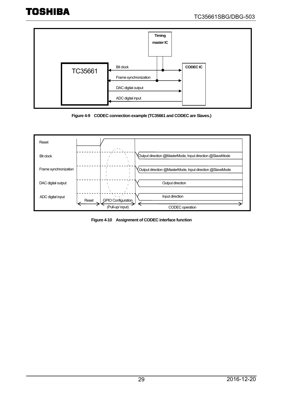

**Figure 4-9 CODEC connection example (TC35661 and CODEC are Slaves.)**

<span id="page-28-0"></span>

<span id="page-28-1"></span>**Figure 4-10 Assignment of CODEC interface function**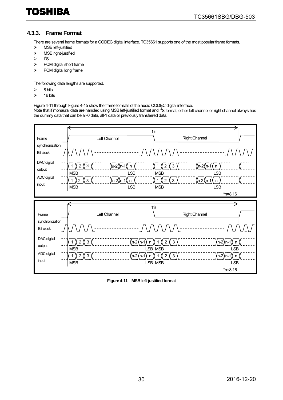#### <span id="page-29-0"></span>**4.3.3. Frame Format**

There are several frame formats for a CODEC digital interface. TC35661 supports one of the most popular frame formats.

- > MSB left-justified
- $\triangleright$  MSB right-justified
- $\triangleright$   $I^2S$
- $\triangleright$  PCM digital short frame
- $\triangleright$  PCM digital long frame

The following data lengths are supported.

- $\geq$  8 bits
- $\geq$  16 bits

[Figure 4-11](#page-29-1) throug[h Figure 4-15](#page-31-0) show the frame formats of the audio CODEC digital interface.

Note that if monaural data are handled using MSB left-justified format and I<sup>2</sup>S format, either left channel or right channel always has the dummy data that can be all-0 data, all-1 data or previously transferred data.



<span id="page-29-1"></span>**Figure 4-11 MSB left-justified format**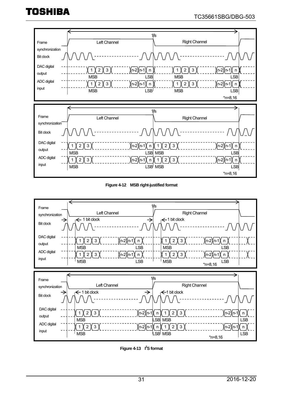#### TC35661SBG/DBG-503



**Figure 4-12 MSB right-justified format**



**Figure 4-13 I<sup>2</sup>S format**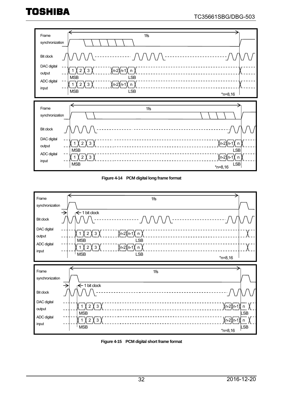





<span id="page-31-0"></span>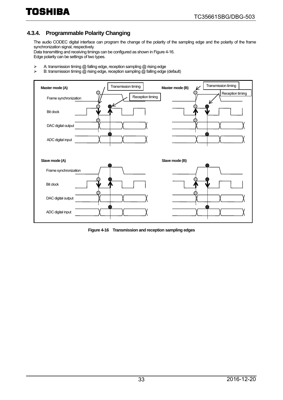### <span id="page-32-0"></span>**4.3.4. Programmable Polarity Changing**

The audio CODEC digital interface can program the change of the polarity of the sampling edge and the polarity of the frame synchronization signal, respectively.

Data transmitting and receiving timings can be configured as shown i[n Figure 4-16.](#page-32-1)  Edge polarity can be settings of two types.

- A: transmission timing @ falling edge, reception sampling @ rising edge<br>
A: transmission timing @ rising edge, reception sampling @ falling edge
- B: transmission timing @ rising edge, reception sampling @ falling edge (default)



<span id="page-32-1"></span>**Figure 4-16 Transmission and reception sampling edges**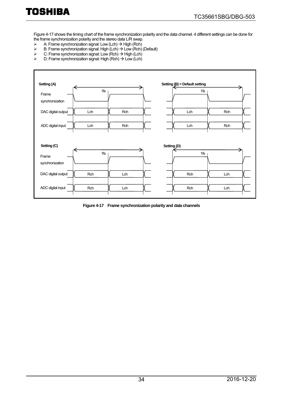[Figure 4-17](#page-33-0) shows the timing chart of the frame synchronization polarity and the data channel. 4 different settings can be done for the frame synchronization polarity and the stereo data L/R swap.<br>  $\triangleright$  A: Frame synchronization signal: Low (Lch)  $\rightarrow$  High (Rch)

- $\triangleright$  A: Frame synchronization signal: Low (Lch)  $\rightarrow$  High (Rch)
- $\triangleright$  B: Frame synchronization signal: High (Lch)  $\rightarrow$  Low (Rch) (Default)
- $\geq$  C: Frame synchronization signal: Low (Rch)  $\rightarrow$  High (Lch)  $\geq$  D: Frame synchronization signal: High (Rch)  $\rightarrow$  Low (Lch)
- D: Frame synchronization signal: High  $(Rch) \rightarrow Low (Lch)$

| Setting (A)              |     |     |                        | Setting $(B)$ = Default setting |     |
|--------------------------|-----|-----|------------------------|---------------------------------|-----|
| Frame<br>synchronization | 1fs |     |                        | 1fs                             |     |
| DAC digital output       | Lch | Rch |                        | Lch                             | Rch |
| ADC digital input        | Lch | Rch |                        | Lch                             | Rch |
| Setting (C)              |     |     | Setting <sub>(D)</sub> |                                 |     |
| Frame<br>synchronization | 1fs |     |                        | 1fs                             |     |
| DAC digital output       | Rch | Lch |                        | Rch                             | Lch |
| ADC digital input        | Rch | Lch |                        | Rch                             | Lch |

<span id="page-33-0"></span>**Figure 4-17 Frame synchronization polarity and data channels**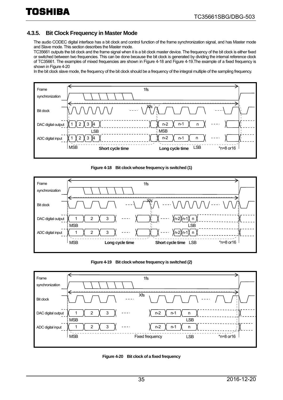#### <span id="page-34-0"></span>**4.3.5. Bit Clock Frequency in Master Mode**

The audio CODEC digital interface has a bit clock and control function of the frame synchronization signal, and has Master mode and Slave mode. This section describes the Master mode.

TC35661 outputs the bit clock and the frame signal when it is a bit clock master device. The frequency of the bit clock is either fixed or switched between two frequencies. This can be done because the bit clock is generated by dividing the internal reference clock of TC35661. The examples of mixed frequencies are shown i[n Figure 4-18](#page-34-1) and [Figure 4-19.T](#page-34-2)he example of a fixed frequency is shown in [Figure 4-20](#page-34-3)

In the bit clock slave mode, the frequency of the bit clock should be a frequency of the integral multiple of the sampling frequency.



#### **Figure 4-18 Bit clock whose frequency is switched (1)**

<span id="page-34-1"></span>![](_page_34_Figure_8.jpeg)

**Figure 4-19 Bit clock whose frequency is switched (2)**

<span id="page-34-2"></span>![](_page_34_Figure_10.jpeg)

<span id="page-34-3"></span>![](_page_34_Figure_11.jpeg)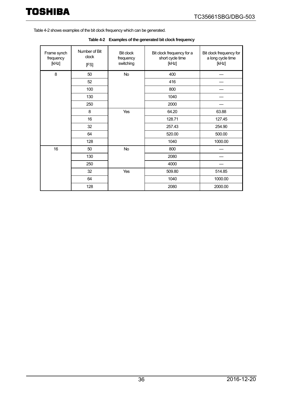<span id="page-35-0"></span>[Table 4-2](#page-35-0) shows examples of the bit clock frequency which can be generated.

| Frame synch<br>frequency<br>[kHz] | Number of Bit<br>clock<br>[FS] | <b>Bit clock</b><br>frequency<br>switching | Bit clock frequency for a<br>short cycle time<br>[kHz] | Bit clock frequency for<br>a long cycle time<br>[kHz] |
|-----------------------------------|--------------------------------|--------------------------------------------|--------------------------------------------------------|-------------------------------------------------------|
| 8                                 | 50                             | <b>No</b>                                  | 400                                                    |                                                       |
|                                   | 52                             |                                            | 416                                                    |                                                       |
|                                   | 100                            |                                            | 800                                                    |                                                       |
|                                   | 130                            |                                            | 1040                                                   |                                                       |
|                                   | 250                            |                                            | 2000                                                   |                                                       |
|                                   | 8                              | Yes                                        | 64.20                                                  | 63.88                                                 |
|                                   | 16                             |                                            | 128.71                                                 | 127.45                                                |
|                                   | 32                             |                                            | 257.43                                                 | 254.90                                                |
|                                   | 64                             |                                            | 520.00                                                 | 500.00                                                |
|                                   | 128                            |                                            | 1040                                                   | 1000.00                                               |
| 16                                | 50                             | No                                         | 800                                                    |                                                       |
|                                   | 130                            |                                            | 2080                                                   |                                                       |
|                                   | 250                            |                                            | 4000                                                   |                                                       |
|                                   | 32                             | Yes                                        | 509.80                                                 | 514.85                                                |
|                                   | 64                             |                                            | 1040                                                   | 1000.00                                               |
|                                   | 128                            |                                            | 2080                                                   | 2000.00                                               |

**Table 4-2 Examples of the generated bit clock frequency**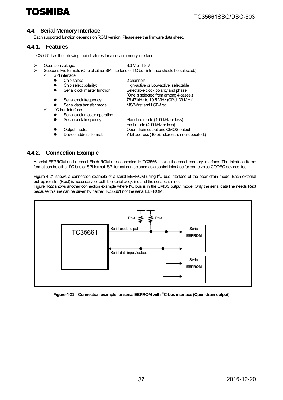#### <span id="page-36-0"></span>**4.4. Serial Memory Interface**

Each supported function depends on ROM version. Please see the firmware data sheet.

#### <span id="page-36-1"></span>**4.4.1. Features**

TC35661 has the following main features for a serial memory interface.

- $\geq$  Operation voltage: 3.3 V or 1.8 V<br>Supports two formats (One of either SPI interface or  $1^2$ C bus interface  $\triangleright$  Supports two formats (One of either SPI interface or  $I^2C$  bus interface should be selected.)
	- $\checkmark$  SPI interface

| SPI interface                  |                                                  |
|--------------------------------|--------------------------------------------------|
| Chip select:                   | 2 channels                                       |
| Chip select polarity:          | High-active or Low-active, selectable            |
| Serial clock master function:  | Selectable clock polarity and phase              |
|                                | (One is selected from among 4 cases.)            |
| Serial clock frequency:        | 76.47 kHz to 19.5 MHz (CPU: 39 MHz)              |
| Serial data transfer mode:     | <b>MSB-first and LSB-first</b>                   |
| I <sup>2</sup> C bus interface |                                                  |
| Serial clock master operation  |                                                  |
| Serial clock frequency:        | Standard mode (100 kHz or less)                  |
|                                | Fast mode (400 kHz or less)                      |
| Output mode:                   | Open-drain output and CMOS output                |
| Device address format:         | 7-bit address (10-bit address is not supported.) |
|                                |                                                  |

#### <span id="page-36-2"></span>**4.4.2. Connection Example**

A serial EEPROM and a serial Flash-ROM are connected to TC35661 using the serial memory interface. The interface frame format can be either I<sup>2</sup>C bus or SPI format. SPI format can be used as a control interface for some voice CODEC devices, too.

[Figure 4-21](#page-36-3) shows a connection example of a serial EEPROM using  $I^2C$  bus interface of the open-drain mode. Each external pull-up resistor (Rext) is necessary for both the serial clock line and the serial data line.

[Figure 4-22](#page-37-0) shows another connection example where I<sup>2</sup>C bus is in the CMOS output mode. Only the serial data line needs Rext because this line can be driven by neither TC35661 nor the serial EEPROM.

![](_page_36_Figure_14.jpeg)

<span id="page-36-3"></span>Figure 4-21 Connection example for serial EEPROM with I<sup>2</sup>C-bus interface (Open-drain output)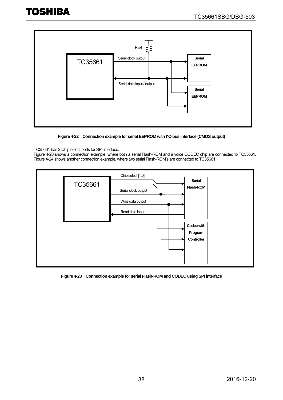![](_page_37_Figure_2.jpeg)

Figure 4-22 Connection example for serial EEPROM with I<sup>2</sup>C-bus interface (CMOS output)

#### <span id="page-37-0"></span>TC35661 has 2 Chip select ports for SPI interface.

[Figure 4-23](#page-37-1) shows a connection example, where both a serial Flash-ROM and a voice CODEC chip are connected to TC35661. [Figure 4-24](#page-38-0) shows another connection example, where two serial Flash-ROM's are connected to TC35661.

![](_page_37_Figure_6.jpeg)

<span id="page-37-1"></span>**Figure 4-23 Connection example for serial Flash-ROM and CODEC using SPI interface**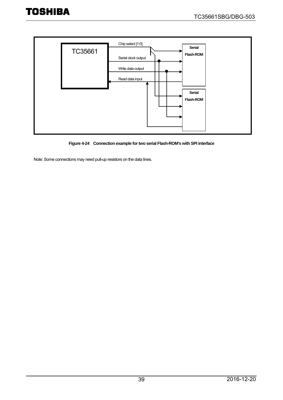![](_page_38_Figure_2.jpeg)

**Figure 4-24 Connection example for two serial Flash-ROM's with SPI interface**

<span id="page-38-0"></span>Note: Some connections may need pull-up resistors on the data lines.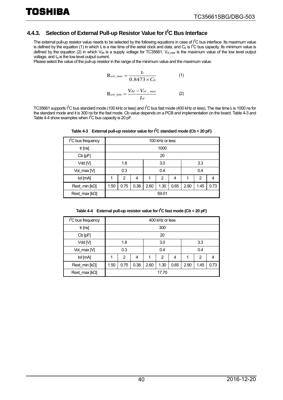#### <span id="page-39-0"></span>**4.4.3. Selection of External Pull-up Resistor Value for I2 C Bus Interface**

TOSHIBA

The external pull-up resistor value needs to be selected by the following equations in case of  $I^2C$  bus interface. Its maximum value is defined by the equation (1) in which t<sub>r</sub> is a rise time of the serial clock and data, and C<sub>b</sub> is I<sup>2</sup>C bus capacity. Its minimum value is defined by the equation (2) in which  $V_{dd}$  is a supply voltage for TC35661,  $V_{dd}$  max is the maximum value of the low level output voltage, and I<sub>ol</sub> is the low level output current.

Please select the value of the pull-up resistor in the range of the minimum value and the maximum value.

$$
R_{\text{ext\_max}} = \frac{t_r}{0.8473 \times C_b}
$$
 (1)  

$$
R_{\text{ext\_min}} = \frac{V_{dd} - V_{ol}}{I_{ol}}
$$
 (2)

<span id="page-39-1"></span>TC35661 supports I<sup>2</sup>C bus standard mode (100 kHz or less) and I<sup>2</sup>C bus fast mode (400 kHz or less). The rise time t<sub>r</sub> is 1000 ns for the standard mode and it is 300 ns for the fast mode. Cb value depends on a PCB and implementation on the board[. Table 4-3 a](#page-39-1)nd [Table 4-4](#page-39-2) show examples when  $I^2C$  bus capacity is 20 pF.

| $I2C$ bus frequency    |                      | 100 kHz or less |   |      |                |      |      |      |      |
|------------------------|----------------------|-----------------|---|------|----------------|------|------|------|------|
| tr[ns]                 |                      | 1000            |   |      |                |      |      |      |      |
| $Cb$ [pF]              |                      | 20              |   |      |                |      |      |      |      |
| Vdd [V]                | 1.8                  |                 |   | 3.0  |                |      | 3.3  |      |      |
| Vol_max [V]            |                      | 0.3             |   | 0.4  |                |      | 0.4  |      |      |
| lol [mA]               | 1                    | $\overline{2}$  | 4 | 1    | $\overline{2}$ | 4    | 1    | 2    | 4    |
| Rext min $[k\Omega]$   | 0.75<br>0.38<br>1.50 |                 |   | 2.60 | 1.30           | 0.65 | 2.90 | 1.45 | 0.73 |
| Rext_max [ $k\Omega$ ] | 59.01                |                 |   |      |                |      |      |      |      |

Table 4-3 External pull-up resistor value for  $I^2C$  standard mode (Cb = 20 pF)

**Table 4-4 External pull-up resistor value for I2 C fast mode (Cb = 20 pF)**

<span id="page-39-2"></span>

| $I2C$ bus frequency  |      | 400 kHz or less |      |      |       |      |      |      |      |
|----------------------|------|-----------------|------|------|-------|------|------|------|------|
| tr[ns]               |      |                 |      |      | 300   |      |      |      |      |
| Cb [pF]              |      | 20              |      |      |       |      |      |      |      |
| Vdd M                | 1.8  |                 |      | 3.0  |       |      | 3.3  |      |      |
| Vol max [V]          |      | 0.3             |      | 0.4  |       |      | 0.4  |      |      |
| lol [mA]             |      | 2               | 4    | 1    | 2     | 4    | 1    | 2    | 4    |
| Rext min $[k\Omega]$ | 1.50 | 0.75            | 0.38 | 2.60 | 1.30  | 0.65 | 2.90 | 1.45 | 0.73 |
| Rext max $[k\Omega]$ |      |                 |      |      | 17.70 |      |      |      |      |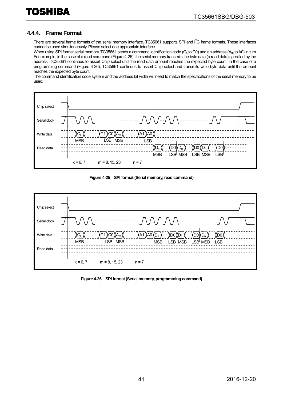#### <span id="page-40-0"></span>**4.4.4. Frame Format**

There are several frame formats of the serial memory interface. TC35661 supports SPI and I<sup>2</sup>C frame formats. These interfaces cannot be used simultaneously. Please select one appropriate interface.

When using SPI format serial memory, TC35661 sends a command identification code ( $C_k$  to C0) and an address ( $A_m$  to A0) in turn. For example, in the case of a read command [\(Figure 4-25\)](#page-40-1), the serial memory transmits the byte data (a read data) specified by the address. TC35661 continues to assert Chip select until the read data amount reaches the expected byte count. In the case of a programming command [\(Figure 4-26\)](#page-40-2), TC35661 continues to assert Chip select and transmits write byte data until the amount reaches the expected byte count.

The command identification code system and the address bit width will need to match the specifications of the serial memory to be used.

![](_page_40_Figure_6.jpeg)

**Figure 4-25 SPI format (Serial memory, read command)** 

<span id="page-40-1"></span>![](_page_40_Figure_8.jpeg)

<span id="page-40-2"></span>**Figure 4-26 SPI format (Serial memory, programming command)**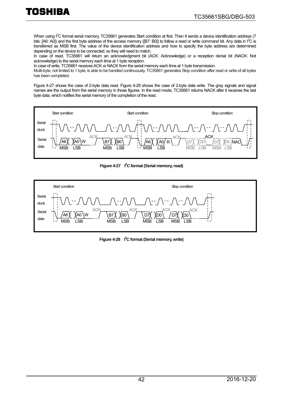When using I<sup>2</sup>C format serial memory, TC35661 generates Start condition at first. Then It sends a device identification address (7 bits: [A6: A0]) and the first byte address of the access memory ([B7: B0]) to follow a read or write command bit. Any data in  $I^2C$  is transferred as MSB first. The value of the device identification address and how to specify the byte address are determined depending on the device to be connected, so they will need to match.

In case of read, TC35661 will return an acknowledgment bit (ACK: Acknowledge) or a reception denial bit (NACK: Not acknowledge) to the serial memory each time at 1 byte reception.

In case of write, TC35661 receives ACK or NACK from the serial memory each time at 1 byte transmission.

Multi-byte, not limited to 1 byte, is able to be handled continuously. TC35661 generates Stop condition after read or write of all bytes has been completed.

[Figure 4-27](#page-41-0) shows the case of 2-byte data read. [Figure 4-28](#page-41-1) shows the case of 2-byte data write. The gray signals and signal names are the output from the serial memory in those figures. In the read mode, TC35661 returns NACK after it receives the last byte data, which notifies the serial memory of the completion of the read.

![](_page_41_Figure_7.jpeg)

Figure 4-27 <sup>2</sup>C format (Serial memory, read)

<span id="page-41-1"></span><span id="page-41-0"></span>![](_page_41_Figure_9.jpeg)

Figure 4-28 <sup>2</sup><sup>2</sup>C format (Serial memory, write)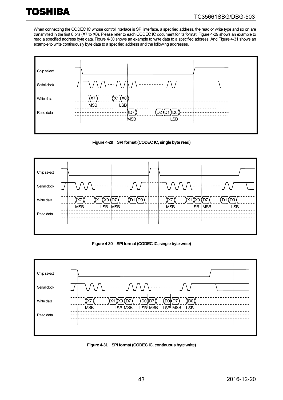When connecting the CODEC IC whose control interface is SPI interface, a specified address, the read or write type and so on are transmitted in the first 8 bits (X7 to X0). Please refer to each CODEC IC document for its format[. Figure 4-29](#page-42-0) shows an example to read a specified address byte data. [Figure 4-30](#page-42-1) shows an example to write data to a specified address. An[d Figure 4-31](#page-42-2) shows an example to write continuously byte data to a specified address and the following addresses.

![](_page_42_Figure_3.jpeg)

**Figure 4-29 SPI format (CODEC IC, single byte read)**

<span id="page-42-0"></span>![](_page_42_Figure_5.jpeg)

**Figure 4-30 SPI format (CODEC IC, single byte write)**

<span id="page-42-1"></span>![](_page_42_Figure_7.jpeg)

<span id="page-42-2"></span>![](_page_42_Figure_8.jpeg)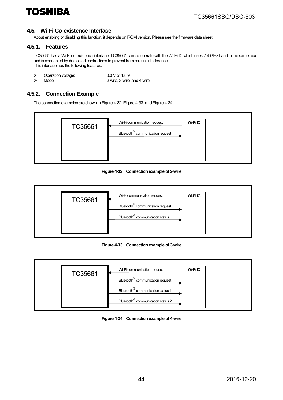#### <span id="page-43-0"></span>**4.5. Wi-Fi Co-existence Interface**

About enabling or disabling this function, it depends on ROM version. Please see the firmware data sheet.

#### <span id="page-43-1"></span>**4.5.1. Features**

TC35661 has a Wi-Fi co-existence interface. TC35661 can co-operate with the Wi-Fi IC which uses 2.4-GHz band in the same box and is connected by dedicated control lines to prevent from mutual interference. This interface has the following features:

- 
- > Operation voltage: 3.3 V or 1.8 V<br>> Mode: 2-wire. 3-wire. 2-wire, 3-wire, and 4-wire

#### <span id="page-43-2"></span>**4.5.2. Connection Example**

The connection examples are shown i[n Figure 4-32,](#page-43-3) [Figure 4-33,](#page-43-4) an[d Figure 4-34.](#page-43-5) 

![](_page_43_Figure_10.jpeg)

**Figure 4-32 Connection example of 2-wire**

<span id="page-43-3"></span>![](_page_43_Figure_12.jpeg)

**Figure 4-33 Connection example of 3-wire**

<span id="page-43-5"></span><span id="page-43-4"></span>![](_page_43_Figure_14.jpeg)

**Figure 4-34 Connection example of 4-wire**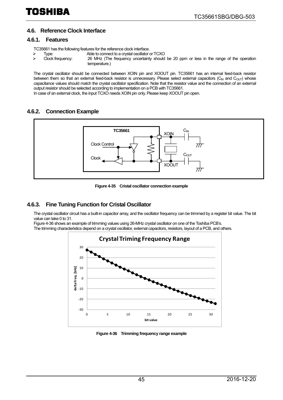#### <span id="page-44-0"></span>**4.6. Reference Clock Interface**

#### <span id="page-44-1"></span>**4.6.1. Features**

TC35661 has the following features for the reference clock interface.<br>
> Type: Able to connect to a crystal oscillator

- 
- Type: Able to connect to a crystal oscillator or TCXO<br>Clock frequency: 26 MHz (The frequency uncertainty should  $\triangleright$  Clock frequency: 26 MHz (The frequency uncertainty should be 20 ppm or less in the range of the operation temperature.)

The crystal oscillator should be connected between XOIN pin and XOOUT pin. TC35661 has an internal feed-back resistor between them so that an external feed-back resistor is unnecessary. Please select external capacitors  $(C_{N}$  and  $C_{OUT}$ ) whose capacitance values should match the crystal oscillator specification. Note that the resistor value and the connection of an external output resistor should be selected according to implementation on a PCB with TC35661. In case of an external clock, the input TCXO needs XOIN pin only. Please keep XOOUT pin open.

#### <span id="page-44-2"></span>**4.6.2. Connection Example**

![](_page_44_Figure_10.jpeg)

![](_page_44_Figure_11.jpeg)

#### <span id="page-44-3"></span>**4.6.3. Fine Tuning Function for Cristal Oscillator**

The crystal oscillator circuit has a built-in capacitor array, and the oscillator frequency can be trimmed by a register bit value. The bit value can take 0 to 31.

[Figure 4-36](#page-44-4) shows an example of trimming values using 26-MHz crystal oscillator on one of the Toshiba PCB's.

The trimming characteristics depend on a crystal oscillator, external capacitors, resistors, layout of a PCB, and others.

![](_page_44_Figure_16.jpeg)

<span id="page-44-4"></span>**Figure 4-36 Trimming frequency range example**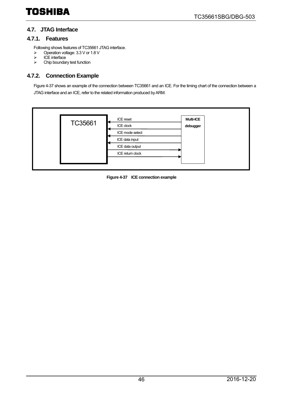#### <span id="page-45-0"></span>**4.7. JTAG Interface**

#### <span id="page-45-1"></span>**4.7.1. Features**

Following shows features of TC35661 JTAG interface.

- $\triangleright$  Operation voltage: 3.3 V or 1.8 V<br> $\triangleright$  ICE interface
- ICE interface
- $\triangleright$  Chip boundary test function

#### <span id="page-45-2"></span>**4.7.2. Connection Example**

[Figure 4-37](#page-45-3) shows an example of the connection between TC35661 and an ICE. For the timing chart of the connection between a JTAG interface and an ICE, refer to the related information produced by ARM.

<span id="page-45-3"></span>![](_page_45_Figure_10.jpeg)

![](_page_45_Figure_11.jpeg)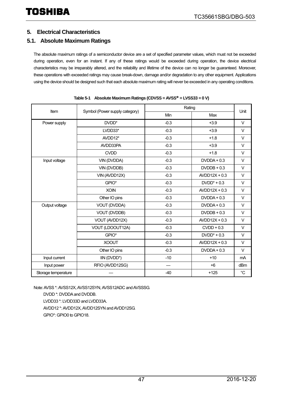#### <span id="page-46-0"></span>**5. Electrical Characteristics**

#### <span id="page-46-1"></span>**5.1. Absolute Maximum Ratings**

The absolute maximum ratings of a semiconductor device are a set of specified parameter values, which must not be exceeded during operation, even for an instant. If any of these ratings would be exceeded during operation, the device electrical characteristics may be irreparably altered, and the reliability and lifetime of the device can no longer be guaranteed. Moreover, these operations with exceeded ratings may cause break-down, damage and/or degradation to any other equipment. Applications using the device should be designed such that each absolute maximum rating will never be exceeded in any operating conditions.

| Item                |                                | Rating |                 |                 |
|---------------------|--------------------------------|--------|-----------------|-----------------|
|                     | Symbol (Power supply category) | Min    | Max             | Unit            |
| Power supply        | DVDD <sup>*</sup>              | $-0.3$ | $+3.9$          | $\vee$          |
|                     | LVDD33*                        | $-0.3$ | $+3.9$          | $\vee$          |
|                     | AVDD12*                        | $-0.3$ | $+1.8$          | $\vee$          |
|                     | AVDD33PA                       | $-0.3$ | $+3.9$          | $\vee$          |
|                     | <b>CVDD</b>                    | $-0.3$ | $+1.8$          | $\vee$          |
| Input voltage       | VIN (DVDDA)                    | $-0.3$ | $DVDDA + 0.3$   | $\vee$          |
|                     | VIN (DVDDB)                    | $-0.3$ | $DVDDB + 0.3$   | $\vee$          |
|                     | VIN (AVDD12X)                  | $-0.3$ | $AVDD12X + 0.3$ | $\vee$          |
|                     | GPIO*                          | $-0.3$ | $DVDD^* + 0.3$  | $\vee$          |
|                     | <b>XOIN</b>                    | $-0.3$ | $AVDD12X + 0.3$ | $\vee$          |
|                     | Other IO pins                  | $-0.3$ | $DVDDA + 0.3$   | $\vee$          |
| Output voltage      | VOUT (DVDDA)                   | $-0.3$ | $DVDDA + 0.3$   | $\vee$          |
|                     | VOUT (DVDDB)                   | $-0.3$ | $DVDDB + 0.3$   | $\vee$          |
|                     | VOUT (AVDD12X)                 | $-0.3$ | $AVDD12X + 0.3$ | $\vee$          |
|                     | VOUT (LDOOUT12A)               | $-0.3$ | $CVDD + 0.3$    | $\vee$          |
|                     | GPIO*                          | $-0.3$ | $DVDD^* + 0.3$  | $\vee$          |
|                     | <b>XOOUT</b>                   | $-0.3$ | $AVDD12X + 0.3$ | $\vee$          |
|                     | Other IO pins                  | $-0.3$ | $DVDDA + 0.3$   | $\vee$          |
| Input current       | IIN (DVDD*)                    | $-10$  | $+10$           | m <sub>A</sub>  |
| Input power         | RFIO (AVDD12SG)                |        | $+6$            | dB <sub>m</sub> |
| Storage temperature |                                | $-40$  | $+125$          | $^{\circ}C$     |

| Table 5-1 Absolute Maximum Ratings (CDVSS = AVSS* = LVSS33 = 0 V) |
|-------------------------------------------------------------------|
|                                                                   |

Note: AVSS \*: AVSS12X, AVSS12SYN, AVSS12ADC and AVSSSG.

DVDD \*: DVDDA and DVDDB. LVDD33 \*: LVDD33D and LVDD33A. AVDD12 \*: AVDD12X, AVDD12SYN and AVDD12SG. GPIO\*: GPIO0 to GPIO18.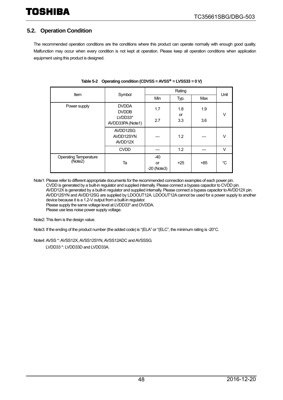#### <span id="page-47-0"></span>**5.2. Operation Condition**

The recommended operation conditions are the conditions where this product can operate normally with enough good quality. Malfunction may occur when every condition is not kept at operation. Please keep all operation conditions when application equipment using this product is designed.

| Item                                    | Symbol                           |                              | Rating           |       |      |  |  |
|-----------------------------------------|----------------------------------|------------------------------|------------------|-------|------|--|--|
|                                         |                                  | Min                          | Typ.             | Max   | Unit |  |  |
| Power supply                            | <b>DVDDA</b><br><b>DVDDB</b>     | 1.7                          | 1.8              | 1.9   |      |  |  |
|                                         | LVDD33*<br>AVDD33PA (Note1)      | 2.7                          | <b>or</b><br>3.3 | 3.6   | V    |  |  |
|                                         | AVDD12SG<br>AVDD12SYN<br>AVDD12X |                              | 1.2              |       | V    |  |  |
|                                         | <b>CVDD</b>                      |                              | 1.2              |       | V    |  |  |
| <b>Operating Temperature</b><br>(Note2) | Ta                               | $-40$<br>or<br>$-20$ (Note3) | $+25$            | $+85$ | °C   |  |  |

#### **Table 5-2 Operating condition (CDVSS = AVSS\* = LVSS33 = 0 V)**

Note1: Please refer to different appropriate documents for the recommended connection examples of each power pin. CVDD is generated by a built-in regulator and supplied internally. Please connect a bypass capacitor to CVDD pin. AVDD12X is generated by a built-in regulator and supplied internally. Please connect a bypass capacitor to AVDD12X pin. AVDD12SYN and AVDD12SG are supplied by LDOOUT12A. LDOOUT12A cannot be used for a power supply to another device because it is a 1.2-V output from a built-in regulator. Please supply the same voltage level at LVDD33\* and DVDDA. Please use less noise power supply voltage.

Note2: This item is the design value.

Note3: If the ending of the product number (the added code) is "(ELA" or "(ELC", the minimum rating is -20°C.

Note4: AVSS \*: AVSS12X, AVSS12SYN, AVSS12ADC and AVSSSG.

LVDD33 \*: LVDD33D and LVDD33A.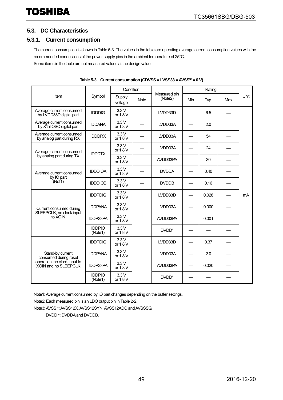#### <span id="page-48-0"></span>**5.3. DC Characteristics**

#### <span id="page-48-1"></span>**5.3.1. Current consumption**

The current consumption is shown i[n Table 5-3.](#page-48-2) The values in the table are operating average current consumption values with the recommended connections of the power supply pins in the ambient temperature of 25°C. Some items in the table are not measured values at the design value.

<span id="page-48-2"></span>

|                                                                   |                          | Condition         |             |                         | Rating |       |     |      |
|-------------------------------------------------------------------|--------------------------|-------------------|-------------|-------------------------|--------|-------|-----|------|
| Item                                                              | Symbol                   | Supply<br>voltage | <b>Note</b> | Measured pin<br>(Note2) | Min    | Typ.  | Max | Unit |
| Average current consumed<br>by LVDD33D digital part               | <b>IDDDIG</b>            | 3.3V<br>or 1.8 V  |             | LVDD33D                 |        | 6.5   |     |      |
| Average current consumed<br>by X <sup>t</sup> al OSC digital part | <b>IDDANA</b>            | 3.3V<br>or 1.8 V  |             | LVDD33A                 |        | 2.0   |     |      |
| Average current consumed<br>by analog part during RX              | <b>IDDDRX</b>            | 3.3V<br>or 1.8 V  |             | LVDD33A                 |        | 54    |     |      |
| Average current consumed                                          | <b>IDDDTX</b>            | 3.3V<br>or 1.8 V  |             | LVDD33A                 |        | 24    |     |      |
| by analog part during TX                                          |                          | 3.3V<br>or 1.8 V  |             | AVDD33PA                |        | 30    |     |      |
| Average current consumed                                          | <b>IDDDIOA</b>           | 3.3V<br>or 1.8 V  |             | <b>DVDDA</b>            |        | 0.40  |     |      |
| by IO part<br>(Not1)                                              | <b>IDDDIOB</b>           | 3.3V<br>or 1.8 V  |             | <b>DVDDB</b>            |        | 0.16  |     |      |
|                                                                   | <b>IDDPDIG</b>           | 3.3V<br>or 1.8 V  |             | LVDD33D                 |        | 0.028 |     | mA   |
| Current consumed during<br>SLEEPCLK, no clock input               | <b>IDDPANA</b>           | 3.3V<br>or 1.8 V  |             | LVDD33A                 |        | 0.000 |     |      |
| to XOIN                                                           | <b>IDDP33PA</b>          | 3.3V<br>or $1.8V$ |             | AVDD33PA                |        | 0.001 |     |      |
|                                                                   | <b>IDDPIO</b><br>(Note1) | 3.3V<br>or $1.8V$ |             | DVDD*                   |        |       |     |      |
|                                                                   | <b>IDDPDIG</b>           | 3.3V<br>or 1.8 V  |             | LVDD33D                 |        | 0.37  |     |      |
| Stand-by current<br>consumed during reset                         | <b>IDDPANA</b>           | 3.3V<br>or 1.8 V  |             | LVDD33A                 |        | 2.0   |     |      |
| operation, no clock input to<br>XOIN and no SLEEPCLK              | <b>IDDP33PA</b>          | 3.3V<br>or 1.8 V  |             | AVDD33PA                |        | 0.020 |     |      |
|                                                                   | <b>IDDPIO</b><br>(Note1) | 3.3V<br>or 1.8 V  |             | DVDD <sup>*</sup>       |        |       |     |      |

**Table 5-3 Current consumption (CDVSS = LVSS33 = AVSS\* = 0 V)**

Note1: Average current consumed by IO part changes depending on the buffer settings.

Note2: Each measured pin is an LDO output pin i[n Table 2-2.](#page-20-1) 

Note3: AVSS \*: AVSS12X, AVSS12SYN, AVSS12ADC and AVSSSG.

DVDD \*: DVDDA and DVDDB.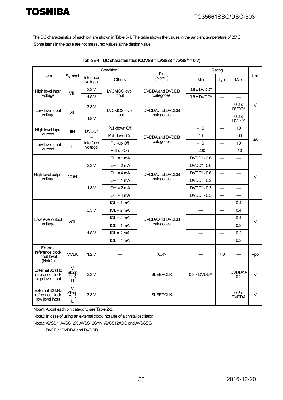The DC characteristics of each pin are shown i[n Table 5-4.](#page-49-0) The table shows the values in the ambient temperature of 25°C. Some items in the table are not measured values at the design value.

<span id="page-49-0"></span>

|                                                        |                                    |                      | Condition           | Pin                                | Rating               |                          |                           |            |
|--------------------------------------------------------|------------------------------------|----------------------|---------------------|------------------------------------|----------------------|--------------------------|---------------------------|------------|
| Item                                                   | Symbol                             | Interface<br>voltage | <b>Others</b>       | (Note1)                            | Min                  | Typ.                     | Max                       | Unit       |
| High level input                                       | VIH                                | 3.3V                 | <b>LVCMOS level</b> | DVDDA and DVDDB                    | $0.8 \times D VDD^*$ | $\qquad \qquad -$        |                           |            |
| voltage                                                |                                    | 1.8V                 | input               | categories<br>$0.8 \times D VDD^*$ |                      |                          |                           |            |
| Low level input                                        | <b>VIL</b>                         | 3.3V                 | <b>LVCMOS level</b> | DVDDA and DVDDB                    |                      |                          | 0.2x<br>DVDD*             | $\vee$     |
| voltage                                                |                                    | 1.8V                 | input               | categories                         |                      |                          | 0.2x<br>DVDD <sup>*</sup> |            |
| High level input                                       | <b>IIH</b>                         | DVDD <sup>*</sup>    | Pull-down Off       |                                    | $-10$                | $\equiv$                 | 10                        |            |
| current                                                |                                    | $=$                  | Pull-down On        | DVDDA and DVDDB                    | 10                   |                          | 200                       |            |
| Low level input                                        | IIL                                | Interface            | Pull-up Off         | categories                         | $-10$                |                          | 10                        | μA         |
| current                                                |                                    | voltage              | Pull-up On          |                                    | $-200$               | $\overline{\phantom{0}}$ | $-10$                     |            |
|                                                        |                                    |                      | $IOH = 1 mA$        |                                    | $DVDD^* - 0.6$       |                          |                           |            |
|                                                        |                                    | 3.3V                 | $IOH = 2mA$         |                                    | $DVDD^* - 0.6$       | $\equiv$                 | $\overline{\phantom{0}}$  |            |
| High level output                                      | <b>VOH</b>                         |                      | $IOH = 4 mA$        | DVDDA and DVDDB<br>categories      | $DVDD^* - 0.6$       | $\overline{\phantom{0}}$ |                           | $\vee$     |
| voltage                                                |                                    | 1.8V                 | $IOH = 1 mA$        |                                    | $DVDD^* - 0.3$       |                          |                           |            |
|                                                        |                                    |                      | $IOH = 2mA$         |                                    | $DVDD^* - 0.3$       |                          | $\overline{\phantom{0}}$  |            |
|                                                        |                                    |                      | $IOH = 4mA$         |                                    | $DVDD^* - 0.3$       | $\overline{\phantom{0}}$ | $\overline{\phantom{0}}$  |            |
|                                                        |                                    |                      | $IOL = 1 mA$        |                                    |                      |                          | 0.4                       |            |
|                                                        |                                    | 3.3V                 | $IOL = 2mA$         |                                    |                      |                          | 0.4                       |            |
| Low level output                                       |                                    |                      | $IOL = 4 mA$        | DVDDA and DVDDB                    |                      | $\overline{\phantom{0}}$ | 0.4                       |            |
| voltage                                                | VOL                                |                      | $IOL = 1 mA$        | categories                         |                      |                          | 0.3                       | $\vee$     |
|                                                        |                                    | 1.8V                 | $IOL = 2mA$         |                                    |                      |                          | 0.3                       |            |
|                                                        |                                    |                      | $IOL = 4 mA$        |                                    |                      |                          | 0.3                       |            |
| External<br>reference clock<br>input level<br>(Note2)  | <b>VCLK</b>                        | 1.2V                 |                     | <b>XOIN</b>                        |                      | 1.0                      |                           | <b>Vpp</b> |
| External 32 kHz<br>reference clock<br>high level input | V<br>Sleep<br><b>CLK</b><br>H      | 3.3V                 |                     | <b>SLEEPCLK</b>                    | 0.8 x DVDDA          |                          | DVDDA+<br>0.2             | $\vee$     |
| External 32 kHz<br>reference clock<br>low level input  | $\vee$<br>Sleep<br><b>CLK</b><br>L | 3.3V                 |                     | <b>SLEEPCLK</b>                    |                      |                          | 0.2x<br><b>DVDDA</b>      | V          |

**Table 5-4 DC characteristics (CDVSS = LVSS33 = AVSS\* = 0 V)** 

Note1: About each pin category, se[e Table 2-2.](#page-20-1)

Note2: In case of using an external clock, not use of a crystal oscillator.

Note3: AVSS \*: AVSS12X, AVSS12SYN, AVSS12ADC and AVSSSG.

DVDD \*: DVDDA and DVDDB.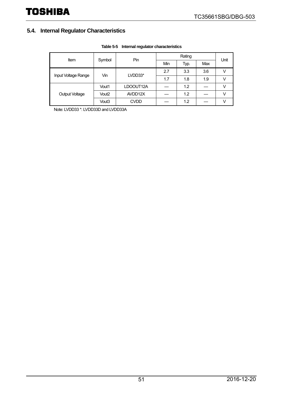### <span id="page-50-0"></span>**5.4. Internal Regulator Characteristics**

| Item                  | Symbol | Pin         | Min | Typ. | Max | Unit |
|-----------------------|--------|-------------|-----|------|-----|------|
| Input Voltage Range   | Vin    | LVDD33*     | 2.7 | 3.3  | 3.6 |      |
|                       |        |             | 1.7 | 1.8  | 1.9 |      |
|                       | Vout1  | LDOOUT12A   |     | 1.2  |     |      |
| <b>Output Voltage</b> | Vout2  | AVDD12X     |     | 1.2  |     |      |
|                       | Vout3  | <b>CVDD</b> |     | 1.2  |     |      |

#### **Table 5-5 Internal regulator characteristics**

Note: LVDD33 \*: LVDD33D and LVDD33A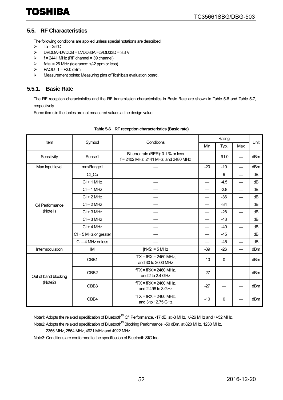#### <span id="page-51-0"></span>**5.5. RF Characteristics**

The following conditions are applied unless special notations are described:

- $\triangleright$  Ta = 25°C
- DVDDA=DVDDB = LVDD33A =LVDD33D = 3.3 V
- $\triangleright$  f = 2441 MHz (RF channel = 39 channel)
- $\triangleright$  fx'tal = 26 MHz (tolerance:  $+/-2$  ppm or less)
- $\triangleright$  PAOUT1 = +2.0 dBm
- Measurement points: Measuring pins of Toshiba's evaluation board.

#### <span id="page-51-1"></span>**5.5.1. Basic Rate**

The RF reception characteristics and the RF transmission characteristics in Basic Rate are shown in [Table 5-6](#page-51-2) and [Table 5-7,](#page-52-0)  respectively.

Some items in the tables are not measured values at the design value.

<span id="page-51-2"></span>

| Item                 | Symbol                  | Conditions                                                                  |       | Unit    |                          |     |
|----------------------|-------------------------|-----------------------------------------------------------------------------|-------|---------|--------------------------|-----|
|                      |                         |                                                                             | Min   | Typ.    | Max                      |     |
| Sensitivity          | Sense1                  | Bit error rate (BER): 0.1 % or less<br>f = 2402 MHz, 2441 MHz, and 2480 MHz |       | $-91.0$ |                          | dBm |
| Max Input level      | maxRange1               |                                                                             | $-20$ | $-10$   |                          | dBm |
|                      | CI Co                   |                                                                             |       | 9       |                          | dB  |
|                      | $Cl + 1 MHz$            |                                                                             |       | $-4.5$  | $\overline{\phantom{0}}$ | dB  |
|                      | $CI - 1 MHz$            |                                                                             |       | $-2.8$  |                          | dB  |
|                      | $Cl + 2 MHz$            |                                                                             |       | $-36$   |                          | dB  |
| C/I Performance      | $Cl - 2 MHz$            |                                                                             |       | $-34$   |                          | dB  |
| (Note1)              | $CI + 3 MHz$            |                                                                             |       | $-28$   | $\overline{\phantom{0}}$ | dB  |
|                      | $Cl - 3 MHz$            |                                                                             |       | $-43$   | $\overline{\phantom{0}}$ | dB  |
|                      | $Cl + 4 MHz$            |                                                                             |       | $-40$   |                          | dB  |
|                      | $Cl + 5$ MHz or greater |                                                                             |       | -45     |                          | dB  |
|                      | $CI - 4 MHz$ or less    |                                                                             |       | $-45$   |                          | dB  |
| Intermodulation      | <b>IM</b>               | $ f1-f2  = 5$ MHz                                                           | $-39$ | $-26$   |                          | dBm |
|                      | OBB1                    | $fTX = fRX = 2460$ MHz,<br>and 30 to 2000 MHz                               | $-10$ | 0       |                          | dBm |
| Out of band blocking | OBB <sub>2</sub>        | $fTX = fRX = 2460$ MHz,<br>and 2 to 2.4 GHz                                 | $-27$ |         |                          | dBm |
| (Note2)              | OBB <sub>3</sub>        | $fTX = fRX = 2460$ MHz,<br>and 2.498 to 3 GHz                               | $-27$ |         |                          | dBm |
|                      | OBB4                    | $fTX = fRX = 2460$ MHz,<br>and 3 to 12.75 GHz                               | $-10$ | 0       |                          | dBm |

#### **Table 5-6 RF reception characteristics (Basic rate)**

Note1: Adopts the relaxed specification of Bluetooth<sup>®</sup> C/I Performance, -17 dB, at -3 MHz, +/-26 MHz and +/-52 MHz.

Note2: Adopts the relaxed specification of Bluetooth® Blocking Performance, -50 dBm, at 820 MHz, 1230 MHz,

2356 MHz, 2564 MHz, 4921 MHz and 4922 MHz.

Note3: Conditions are conformed to the specification of Bluetooth SIG Inc.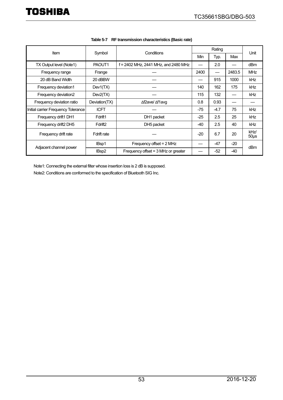<span id="page-52-0"></span>

|                                     | Conditions          |                                       |       |        |        |                 |
|-------------------------------------|---------------------|---------------------------------------|-------|--------|--------|-----------------|
| <b>Item</b>                         | Symbol              |                                       | Min   | Typ.   | Max    | Unit            |
| TX Output level (Note1)             | PAOUT1              | f = 2402 MHz, 2441 MHz, and 2480 MHz  |       | 2.0    |        | dBm             |
| Frequency range                     | Frange              |                                       | 2400  |        | 2483.5 | <b>MHz</b>      |
| 20 dB Band Width                    | 20 dBBW             |                                       |       | 915    | 1000   | kHz             |
| Frequency deviation1                | Dev1(TX)            |                                       | 140   | 162    | 175    | kHz             |
| Frequency deviation2                | Dev2(TX)            |                                       | 115   | 132    |        | <b>kHz</b>      |
| Frequency deviation ratio           | Deviation(TX)       | ∆f2ave/ ∆f1avg                        | 0.8   | 0.93   |        |                 |
| Initial carrier Frequency Tolerance | <b>ICFT</b>         |                                       | -75   | $-4.7$ | 75     | <b>kHz</b>      |
| Frequency drift1 DH1                | Fdrift1             | DH1 packet                            | $-25$ | 2.5    | 25     | kHz             |
| Frequency drift2 DH5                | Fdrift <sub>2</sub> | DH5 packet                            | $-40$ | 2.5    | 40     | <b>kHz</b>      |
| Frequency drift rate                | Fdrift rate         |                                       | $-20$ | 6.7    | 20     | kHz/<br>$50µ$ s |
| Adjacent channel power              | IBsp1               | Frequency offset = 2 MHz              |       | $-47$  | $-20$  | dBm             |
|                                     | IBsp2               | Frequency offset $=$ 3 MHz or greater |       | $-52$  | -40    |                 |

| Table 5-7 RF transmission characteristics (Basic rate) |
|--------------------------------------------------------|
|                                                        |

Note1: Connecting the external filter whose insertion loss is 2 dB is supposed. Note2: Conditions are conformed to the specification of Bluetooth SIG Inc.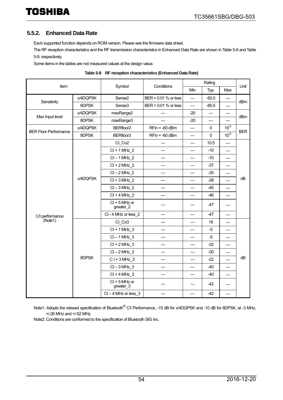#### <span id="page-53-0"></span>**5.5.2. Enhanced Data Rate**

Each supported function depends on ROM version. Please see the firmware data sheet.

The RF reception characteristics and the RF transmission characteristics in Enhanced Data Rate are shown i[n Table 5-8](#page-53-1) an[d Table](#page-54-0)  [5-9,](#page-54-0) respectively.

Some items in the tables are not measured values at the design value.

<span id="page-53-1"></span>

| Item                         |               |                              |                      |                          | Rating      |                          |            |
|------------------------------|---------------|------------------------------|----------------------|--------------------------|-------------|--------------------------|------------|
|                              |               | Symbol                       | Conditions           | Min                      | Typ.        | Max                      | Unit       |
|                              | $\pi$ /4DQPSK | Sense2                       | BER = 0.01 % or less | $\overline{\phantom{0}}$ | $-92.0$     |                          | dBm        |
| Sensitivity                  | 8DPSK         | Sense <sub>3</sub>           | BER = 0.01 % or less |                          | $-85.5$     |                          |            |
| Max Input level              | $\pi$ /4DQPSK | maxRange2                    |                      | $-20$                    |             |                          | dBm        |
|                              | 8DPSK         | maxRange3                    |                      | $-20$                    |             |                          |            |
| <b>BER Floor Performance</b> | $\pi$ /4DQPSK | BERfloor <sub>2</sub>        | $RFin = -60$ dBm     | $\overline{\phantom{0}}$ | 0           | $10^{-5}$                | <b>BER</b> |
|                              | 8DPSK         | BERfloor3                    | $RFin = -60$ dBm     | —                        | $\mathbf 0$ | $10^{-5}$                |            |
|                              |               | CI Co <sub>2</sub>           |                      | $\overline{\phantom{0}}$ | 10.5        |                          |            |
|                              |               | $Cl + 1 MHz$ 2               |                      |                          | $-10$       |                          |            |
|                              |               | $Cl - 1 MHz$ 2               |                      |                          | $-10$       |                          |            |
|                              |               | $Cl + 2 MHz$ 2               |                      | $\overline{\phantom{0}}$ | $-37$       | $\overline{\phantom{0}}$ |            |
|                              | $\pi$ /4DQPSK | $Cl - 2 MHz$ 2               |                      |                          | $-35$       |                          | dB         |
|                              |               | $Cl + 3 MHz$ 2               |                      | $\overline{\phantom{0}}$ | $-28$       |                          |            |
|                              |               | $Cl - 3 MHz$ 2               |                      | $\overline{\phantom{0}}$ | $-45$       |                          |            |
|                              |               | $Cl + 4 MHz$ 2               |                      |                          | $-46$       |                          |            |
|                              |               | $Cl + 5$ MHz or<br>greater_2 |                      |                          | $-47$       |                          |            |
| C/I performance              |               | CI-4 MHz or less 2           |                      |                          | $-47$       |                          |            |
| (Note1)                      |               | CI_Co3                       |                      |                          | 18          |                          |            |
|                              |               | $Cl + 1 MHz$ 3               |                      |                          | $-5$        | $\overline{\phantom{0}}$ |            |
|                              |               | $Cl - 1 MHz$ 3               |                      | $\overline{\phantom{0}}$ | $-5$        | $\overline{\phantom{0}}$ |            |
|                              |               | $Cl + 2 MHz$ 3               |                      |                          | $-32$       | $\qquad \qquad$          |            |
|                              |               | $Cl - 2 MHz$ 3               |                      | —                        | $-30$       |                          |            |
|                              | 8DPSK         | $C1 + 3 MHz$ 3               |                      |                          | $-22$       |                          | dB         |
|                              |               | $Cl - 3 MHz$ 3               |                      |                          | $-40$       |                          |            |
|                              |               | $Cl + 4 MHz_3$               |                      |                          | $-40$       |                          |            |
|                              |               | $Cl + 5 MHz$ or<br>greater_3 |                      |                          | $-42$       |                          |            |
|                              |               | $Cl - 4 MHz$ or less 3       |                      |                          | $-42$       |                          |            |

|  | Table 5-8 RF reception characteristics (Enhanced Data Rate) |
|--|-------------------------------------------------------------|
|--|-------------------------------------------------------------|

Note1: Adopts the relaxed specification of Bluetooth<sup>®</sup> C/I Performance, -15 dB for  $\pi$ /4DQPSK and -10 dB for 8DPSK, at -3 MHz, +/-26 MHz and +/-52 MHz.

Note2: Conditions are conformed to the specification of Bluetooth SIG Inc.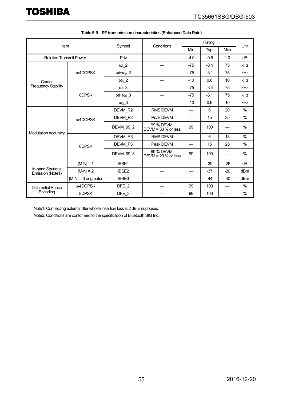<span id="page-54-0"></span>

| Item                                 |                        |                         |                                     | Rating |        |       |               |
|--------------------------------------|------------------------|-------------------------|-------------------------------------|--------|--------|-------|---------------|
|                                      |                        | Symbol                  | Conditions                          | Min    | Typ.   | Max   | Unit          |
| <b>Relative Transmit Power</b>       |                        | Prtv                    |                                     | $-4.0$ | $-0.6$ | 1.0   | dB            |
|                                      |                        | $\omega$ i_2            |                                     | $-75$  | $-3.4$ | 75    | kHz           |
|                                      | $\pi$ /4DQPSK          | $\omega + \omega_0$ 2   |                                     | $-75$  | $-3.1$ | 75    | kHz           |
| Carrier                              |                        | $\omega_0$ 2            |                                     | $-10$  | 0.6    | 10    | kHz           |
| <b>Frequency Stability</b>           |                        | $\omega$ i_3            |                                     | $-75$  | $-3.4$ | 75    | kHz           |
|                                      | 8DPSK                  | $\omega i + \omega_0$ 3 |                                     | $-75$  | $-3.1$ | 75    | kHz           |
|                                      |                        | $\omega_0$ _3           |                                     | $-10$  | 0.6    | 10    | kHz           |
|                                      |                        | DEVM_R2                 | <b>RMS DEVM</b>                     |        | 6      | 20    | $\frac{0}{0}$ |
|                                      | $\pi$ /4DQPSK          | DEVM P2                 | Peak DEVM                           |        | 15     | 35    | $\frac{0}{0}$ |
| <b>Modulation Accuracy</b>           |                        | DEVM_99_2               | 99 % DEVM.<br>DEVM = $30\%$ or less | 99     | 100    |       | $\frac{0}{0}$ |
|                                      |                        | DEVM R3                 | <b>RMS DEVM</b>                     |        | 6      | 13    | $\frac{0}{0}$ |
|                                      | 8DPSK                  | DEVM P3                 | Peak DEVM                           |        | 15     | 25    | $\frac{0}{0}$ |
|                                      |                        | DEVM_99_3               | 99 % DEVM,<br>DEVM = $20%$ or less  | 99     | 100    |       | $\frac{0}{0}$ |
|                                      | $ M-N  = 1$            | IBSE1                   |                                     |        | $-39$  | $-26$ | dB            |
| In-band Spurious<br>Emission (Note1) | $ M-N =2$              | <b>IBSE2</b>            |                                     |        | -37    | $-20$ | dBm           |
|                                      | $ M-N  = 3$ or greater | IBSE3                   |                                     |        | $-44$  | $-40$ | dBm           |
| Differential Phase                   | $\pi$ /4DQPSK          | DFE_2                   |                                     | 99     | 100    |       | %             |
| Encoding                             | 8DPSK                  | DFE_3                   |                                     | 99     | 100    |       | $\frac{0}{0}$ |

|  |  | Table 5-9 RF transmission characteristics (Enhanced Data Rate) |
|--|--|----------------------------------------------------------------|
|--|--|----------------------------------------------------------------|

Note1: Connecting external filter whose insertion loss is 2 dB is supposed.

Note2: Conditions are conformed to the specification of Bluetooth SIG Inc.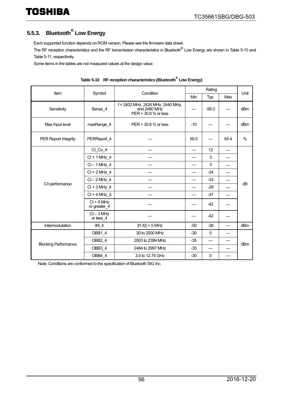## <span id="page-55-0"></span>**5.5.3. Bluetooth® Low Energy**

Each supported function depends on ROM version. Please see the firmware data sheet.

The RF reception characteristics and the RF transmission characteristics in Bluetooth® Low Energy are shown in [Table 5-10](#page-55-1) and [Table 5-11,](#page-56-0) respectively.

Some items in the tables are not measured values at the design value.

<span id="page-55-1"></span>

|                             |                              |                                                                           | Rating |             |      |               |  |
|-----------------------------|------------------------------|---------------------------------------------------------------------------|--------|-------------|------|---------------|--|
| Item                        | Symbol                       | Condition                                                                 | Min    | Typ.        | Max  | Unit          |  |
| Sensitivity                 | Sense 4                      | f = 2402 MHz, 2426 MHz, 2440 MHz,<br>and 2480 MHz<br>PER = 30.8 % or less |        | $-95.0$     |      | dBm           |  |
| Max Input level             | maxRange 4                   | $PER = 30.8 %$ or less                                                    | $-10$  |             |      | dBm           |  |
| <b>PER Report Integrity</b> | PERReport 4                  |                                                                           | 50.0   |             | 65.4 | $\frac{0}{0}$ |  |
|                             | $Cl$ $Co_4$                  |                                                                           |        | 12          |      |               |  |
|                             | $Cl + 1 MHz 4$               |                                                                           |        | 3           |      |               |  |
|                             | $CI - 1 MHz_4$               |                                                                           |        | 3           |      |               |  |
|                             | $Cl + 2 MHz$ 4               |                                                                           |        | $-34$       |      |               |  |
|                             | $CI - 2 MHz 4$               |                                                                           |        | $-33$       |      |               |  |
| C/I performance             | $Cl + 3 MHz 4$               |                                                                           |        | $-28$       |      | dB            |  |
|                             | $Cl + 4 MHz 4$               |                                                                           |        | $-37$       |      |               |  |
|                             | $CI + 5 MHz$<br>or greater_4 |                                                                           |        | $-42$       |      |               |  |
|                             | $CI - 3 MHz$<br>or less 4    |                                                                           |        | $-42$       |      |               |  |
| Intermodulation             | $IM_4$                       | $ f1-f2  = 5$ MHz                                                         | $-50$  | $-38$       |      | dBm           |  |
|                             | OBB1 4                       | 30 to 2000 MHz                                                            | $-30$  | $\mathbf 0$ |      |               |  |
| <b>Blocking Performance</b> | OBB2 4                       | 2003 to 2399 MHz                                                          | $-35$  |             |      | dBm           |  |
|                             | OBB3 4                       | 2484 to 2997 MHz                                                          | $-35$  |             |      |               |  |
|                             | OBB4 4                       | 3.0 to 12.75 GHz                                                          | $-30$  | $\mathbf 0$ |      |               |  |

| Table 5-10 RF reception characteristics (Bluetooth DLow Energy) |
|-----------------------------------------------------------------|
|-----------------------------------------------------------------|

Note: Conditions are conformed to the specification of Bluetooth SIG Inc.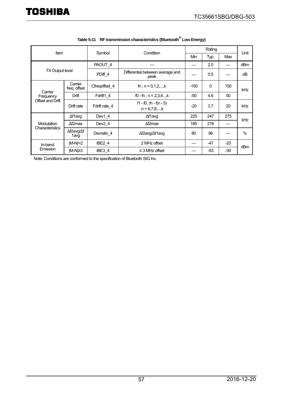<span id="page-56-0"></span>

| <b>Item</b>                              |                         | Condition<br>Symbol |                                                 | Rating |              |       |                 |  |
|------------------------------------------|-------------------------|---------------------|-------------------------------------------------|--------|--------------|-------|-----------------|--|
|                                          |                         |                     |                                                 | Min    | Typ.         | Max   | Unit            |  |
| <b>TX Output level</b>                   |                         | PAOUT 4             |                                                 |        | 2.0          |       | dB <sub>m</sub> |  |
|                                          |                         | PDiff 4             | Differential between average and<br>peak        |        | 0.5          |       | dB              |  |
| Carrier<br>Frequency<br>Offset and Drift | Carrier<br>freg. offset | Cfreqoffset 4       | fn; $n = 0,1,2,,k$                              | $-150$ | $\mathbf{0}$ | 150   | kHz             |  |
|                                          | Drift                   | Fdrift1 4           | f0 - fn; $n = 2,3,4$ ,k                         | $-50$  | 4.6          | 50    |                 |  |
|                                          | Drift rate              | Fdrift rate_4       | $f1 - f0$ , fn - $f(n - 5)$<br>; $n = 6,7,8,,k$ | $-20$  | 3.7          | 20    | kHz             |  |
| Modulation<br>Characteristics            | ∆f1avg                  | Dev1 4              | ∆f1avg                                          | 225    | 247          | 275   | kHz             |  |
|                                          | $\Delta f2$ max         | Dev <sub>2</sub> 4  | $\Delta f2$ max                                 | 185    | 218          |       |                 |  |
|                                          | ∆f2avg/∆f<br>1avg       | Devratio 4          | ∆f2avg/∆f1avg                                   | 80     | 96           |       | $\%$            |  |
| In-band<br>Emission                      | $ M-N =2$               | IBE <sub>2</sub> 4  | 2 MHz offset                                    |        | $-47$        | $-20$ | dB <sub>m</sub> |  |
|                                          | M-N ≥3                  | IBE3 4              | $\geq$ 3 MHz offset                             |        | $-53$        | -30   |                 |  |

|  | Table 5-11 RF transmission characteristics (Bluetooth Low Energy) |
|--|-------------------------------------------------------------------|
|--|-------------------------------------------------------------------|

Note: Conditions are conformed to the specification of Bluetooth SIG Inc.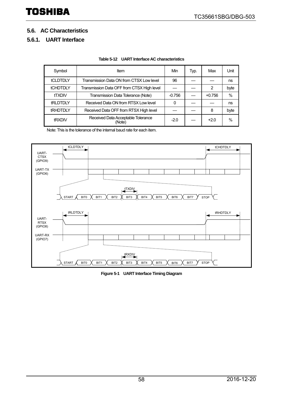#### <span id="page-57-0"></span>**5.6. AC Characteristics**

#### <span id="page-57-1"></span>**5.6.1. UART Interface**

| Symbol          | ltem                                         | Min      | Typ. | Max      | Unit |
|-----------------|----------------------------------------------|----------|------|----------|------|
| <b>tCLDTDLY</b> | Transmission Data ON from CTSX Low level     | 96       |      |          | ns   |
| <b>tCHDTDLY</b> | Transmission Data OFF from CTSX High level   |          |      | 2        | byte |
| <b>tTXDIV</b>   | Transmission Data Tolerance (Note)           | $-0.756$ |      | $+0.756$ | $\%$ |
| <b>tRLDTDLY</b> | Received Data ON from RTSX Low level         | 0        |      |          | ns   |
| <b>tRHDTDLY</b> | Received Data OFF from RTSX High level       |          |      | 8        | byte |
| tRXDIV          | Received Data Acceptable Tolerance<br>(Note) | $-2.0$   |      | $+2.0$   | $\%$ |

Note: This is the tolerance of the internal baud rate for each item.

![](_page_57_Figure_7.jpeg)

**Figure 5-1 UART Interface Timing Diagram**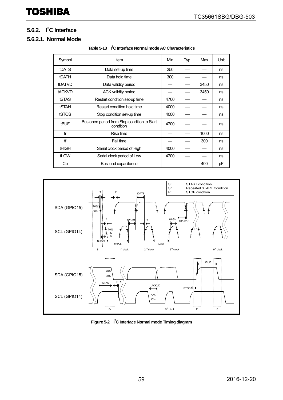### <span id="page-58-0"></span>**5.6.2. I2 C Interface**

#### **5.6.2.1. Normal Mode**

| Symbol        | Item                                                      | Min  | Typ. | Max  | Unit |
|---------------|-----------------------------------------------------------|------|------|------|------|
| <b>tDATS</b>  | Data set-up time                                          | 250  |      |      | ns   |
| <b>tDATH</b>  | Data hold time                                            | 300  |      |      | ns   |
| tDATVD        | Data validity period                                      |      |      | 3450 | ns   |
| <b>tACKVD</b> | <b>ACK validity period</b>                                |      |      | 3450 | ns   |
| <b>tSTAS</b>  | Restart condition set-up time                             | 4700 |      |      | ns   |
| <b>tSTAH</b>  | Restart condition hold time                               | 4000 |      |      | ns   |
| tSTOS         | Stop condition set-up time                                | 4000 |      |      | ns   |
| <b>tBUF</b>   | Bus open period from Stop condition to Start<br>condition | 4700 |      |      | ns   |
| tr            | Rise time                                                 |      |      | 1000 | ns   |
| tf            | Fall time                                                 |      |      | 300  | ns   |
| <b>tHIGH</b>  | Serial clock period of High                               | 4000 |      |      | ns   |
| tLOW          | Serial clock period of Low                                | 4700 |      |      | ns   |
| Cb            | Bus load capacitance                                      |      |      | 400  | рF   |

**Table 5-13 I2 C Interface Normal mode AC Characteristics**

![](_page_58_Figure_5.jpeg)

Figure 5-2 <sup>2</sup><sup>2</sup>C Interface Normal mode Timing diagram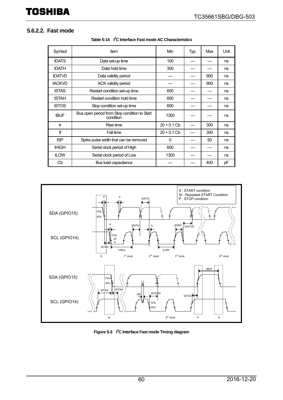#### **5.6.2.2. Fast mode**

| Symbol        | Item                                                      | Min           | Typ. | Max | Unit |
|---------------|-----------------------------------------------------------|---------------|------|-----|------|
| <b>tDATS</b>  | Data set-up time                                          | 100           |      |     | ns   |
| <b>tDATH</b>  | Data hold time                                            | 300           |      |     | ns   |
| tDATVD        | Data validity period                                      |               |      | 900 | ns   |
| <b>tACKVD</b> | <b>ACK validity period</b>                                |               |      | 900 | ns   |
| tSTAS         | Restart condition set-up time                             | 600           |      |     | ns   |
| <b>tSTAH</b>  | Restart condition hold time                               | 600           |      |     | ns   |
| tSTOS         | Stop condition set-up time                                | 600           |      |     | ns   |
| <b>tBUF</b>   | Bus open period from Stop condition to Start<br>condition | 1300          |      |     | ns   |
| tr            | Rise time                                                 | $20 + 0.1$ Cb |      | 300 | ns   |
| tf            | Fall time                                                 | $20 + 0.1$ Cb |      | 300 | ns   |
| tSP           | Spike pulse width that can be removed                     | $\Omega$      |      | 50  | ns   |
| <b>tHIGH</b>  | Serial clock period of High                               | 600           |      |     | ns   |
| tLOW          | Serial clock period of Low                                | 1300          |      |     | ns   |
| Cb            | Bus load capacitance                                      |               |      | 400 | рF   |

![](_page_59_Figure_4.jpeg)

![](_page_59_Figure_5.jpeg)

**Figure 5-3 I2 C Interface Fast mode Timing diagram**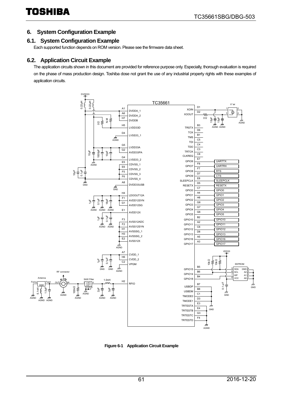#### <span id="page-60-0"></span>**6. System Configuration Example**

#### <span id="page-60-1"></span>**6.1. System Configuration Example**

Each supported function depends on ROM version. Please see the firmware data sheet.

#### <span id="page-60-2"></span>**6.2. Application Circuit Example**

The application circuits shown in this document are provided for reference purpose only. Especially, thorough evaluation is required on the phase of mass production design. Toshiba dose not grant the use of any industrial property rights with these examples of application circuits.

![](_page_60_Figure_7.jpeg)

**Figure 6-1 Application Circuit Example**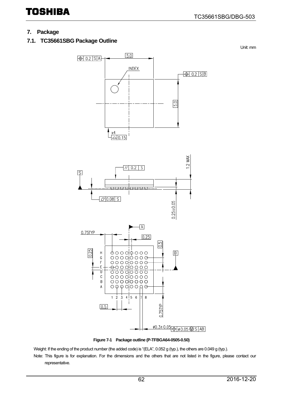Unit: mm

## TOSHIBA

#### <span id="page-61-0"></span>**7. Package**

<span id="page-61-1"></span>**7.1. TC35661SBG Package Outline** 

![](_page_61_Figure_4.jpeg)

![](_page_61_Figure_5.jpeg)

Weight: If the ending of the product number (the added code) is "(ELA", 0.052 g (typ.), the others are 0.049 g (typ.). Note: This figure is for explanation. For the dimensions and the others that are not listed in the figure, please contact our representative.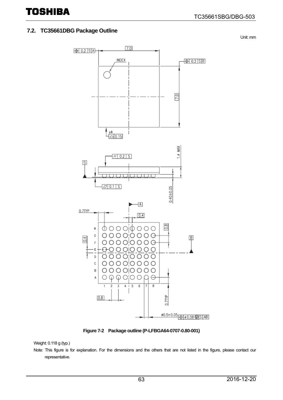#### <span id="page-62-0"></span>**7.2. TC35661DBG Package Outline**

TOSHIBA

Unit: mm

![](_page_62_Figure_3.jpeg)

**Figure 7-2 Package outline (P-LFBGA64-0707-0.80-001)** 

Weight: 0.118 g (typ.)

Note: This figure is for explanation. For the dimensions and the others that are not listed in the figure, please contact our representative.